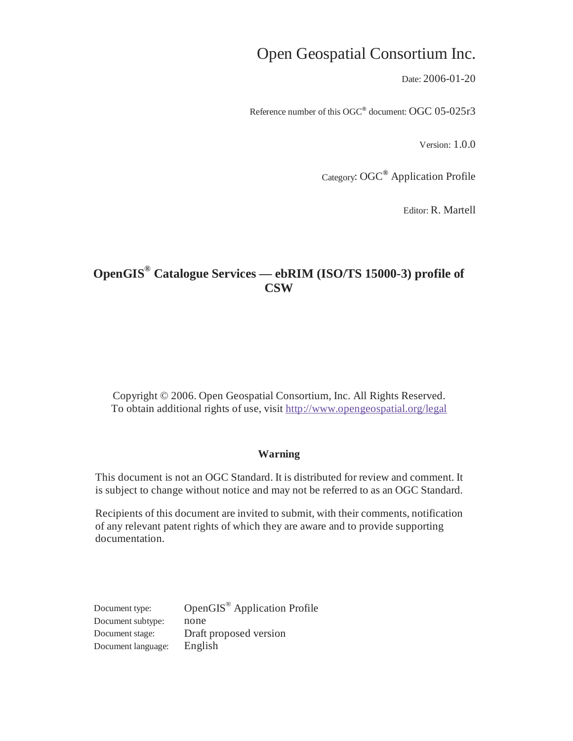# Open Geospatial Consortium Inc.

Date: 2006-01-20

Reference number of this OGC**®** document: OGC 05-025r3

Version: 1.0.0

Category: OGC**®** Application Profile

Editor: R. Martell

# **OpenGIS® Catalogue Services — ebRIM (ISO/TS 15000-3) profile of CSW**

Copyright © 2006. Open Geospatial Consortium, Inc. All Rights Reserved. To obtain additional rights of use, visit http://www.opengeospatial.org/legal

#### **Warning**

This document is not an OGC Standard. It is distributed for review and comment. It is subject to change without notice and may not be referred to as an OGC Standard.

Recipients of this document are invited to submit, with their comments, notification of any relevant patent rights of which they are aware and to provide supporting documentation.

Document type: OpenGIS® Application Profile Document subtype: none Document stage: Draft proposed version Document language: English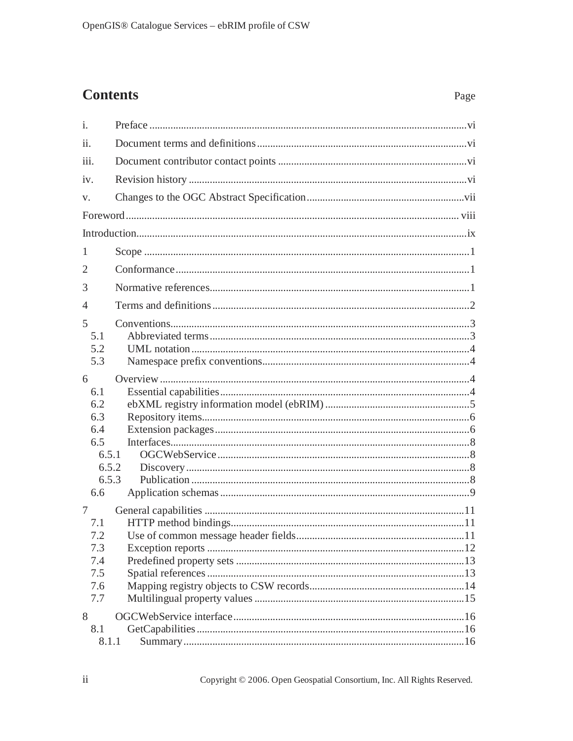# **Contents**

| i.                                                                     |  |
|------------------------------------------------------------------------|--|
| $\overline{11}$ .                                                      |  |
| iii.                                                                   |  |
| iv.                                                                    |  |
| V.                                                                     |  |
|                                                                        |  |
|                                                                        |  |
| 1                                                                      |  |
| 2                                                                      |  |
| 3                                                                      |  |
| $\overline{4}$                                                         |  |
| 5<br>5.1<br>5.2<br>5.3                                                 |  |
| 6<br>6.1<br>6.2<br>6.3<br>6.4<br>6.5<br>6.5.1<br>6.5.2<br>6.5.3<br>6.6 |  |
| 7<br>7.1<br>7.2<br>7.3<br>7.4<br>7.5<br>7.6<br>7.7                     |  |
| 8<br>8.1<br>8.1.1                                                      |  |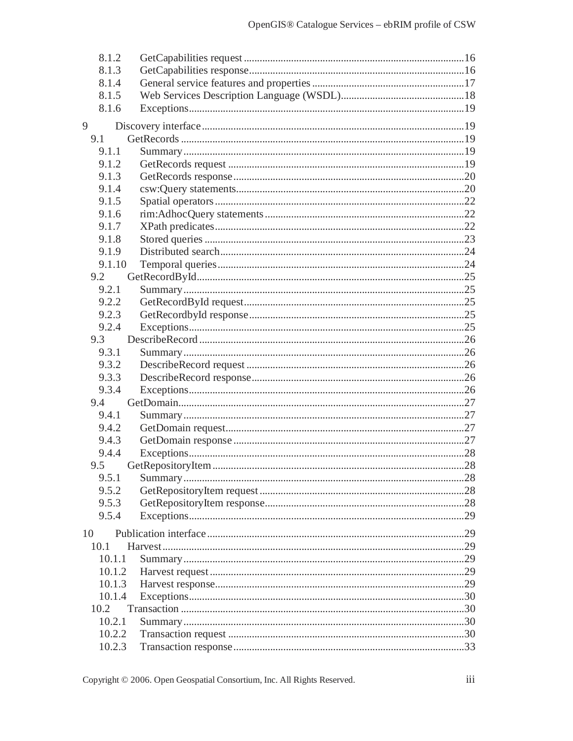| 8.1.2  |  |
|--------|--|
| 8.1.3  |  |
| 8.1.4  |  |
| 8.1.5  |  |
| 8.1.6  |  |
| 9      |  |
| 9.1    |  |
| 9.1.1  |  |
| 9.1.2  |  |
| 9.1.3  |  |
| 9.1.4  |  |
| 9.1.5  |  |
| 9.1.6  |  |
| 9.1.7  |  |
| 9.1.8  |  |
| 9.1.9  |  |
| 9.1.10 |  |
| 9.2    |  |
| 9.2.1  |  |
| 9.2.2  |  |
| 9.2.3  |  |
| 9.2.4  |  |
| 9.3    |  |
| 9.3.1  |  |
| 9.3.2  |  |
| 9.3.3  |  |
| 9.3.4  |  |
| 9.4    |  |
| 9.4.1  |  |
| 9.4.2  |  |
| 9.4.3  |  |
| 9.4.4  |  |
| 9.5    |  |
| 9.5.1  |  |
| 9.5.2  |  |
| 9.5.3  |  |
| 9.5.4  |  |
| 10     |  |
| 10.1   |  |
| 10.1.1 |  |
| 10.1.2 |  |
| 10.1.3 |  |
| 10.1.4 |  |
| 10.2   |  |
| 10.2.1 |  |
| 10.2.2 |  |
| 10.2.3 |  |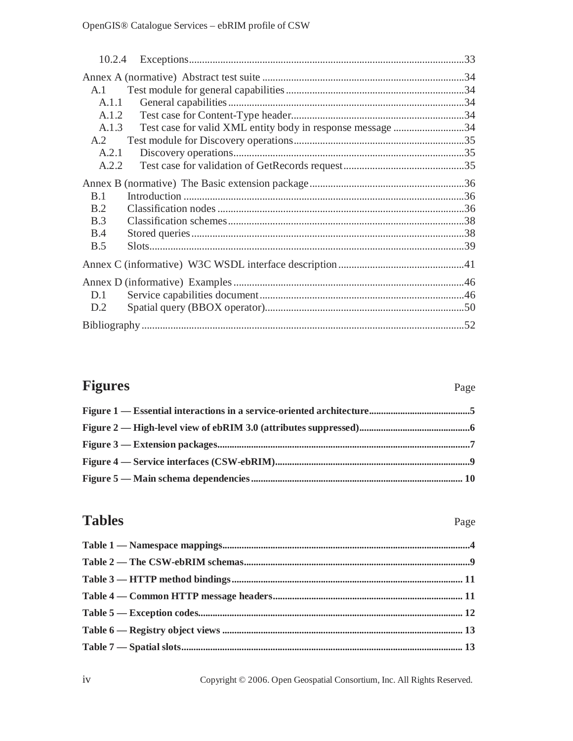| A.1        |                                                            |  |
|------------|------------------------------------------------------------|--|
| A.1.1      |                                                            |  |
| A.1.2      |                                                            |  |
| A.1.3      | Test case for valid XML entity body in response message 34 |  |
| A2         |                                                            |  |
| A.2.1      |                                                            |  |
| A.2.2      |                                                            |  |
|            |                                                            |  |
| <b>B.1</b> |                                                            |  |
| B.2        |                                                            |  |
| B.3        |                                                            |  |
| <b>B.4</b> |                                                            |  |
| <b>B.5</b> |                                                            |  |
|            |                                                            |  |
|            |                                                            |  |
| D.1        |                                                            |  |
| D.2        |                                                            |  |
|            |                                                            |  |
|            |                                                            |  |

# **Figures**

## Page

# **Tables**

# Page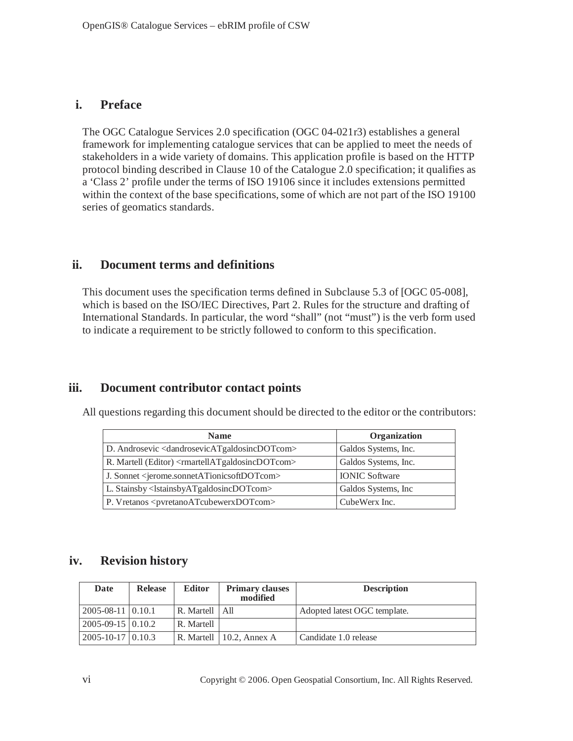# **i. Preface**

The OGC Catalogue Services 2.0 specification (OGC 04-021r3) establishes a general framework for implementing catalogue services that can be applied to meet the needs of stakeholders in a wide variety of domains. This application profile is based on the HTTP protocol binding described in Clause 10 of the Catalogue 2.0 specification; it qualifies as a 'Class 2' profile under the terms of ISO 19106 since it includes extensions permitted within the context of the base specifications, some of which are not part of the ISO 19100 series of geomatics standards.

## **ii. Document terms and definitions**

This document uses the specification terms defined in Subclause 5.3 of [OGC 05-008], which is based on the ISO/IEC Directives, Part 2. Rules for the structure and drafting of International Standards. In particular, the word "shall" (not "must") is the verb form used to indicate a requirement to be strictly followed to conform to this specification.

# **iii. Document contributor contact points**

| All questions regarding this document should be directed to the editor or the contributors: |  |
|---------------------------------------------------------------------------------------------|--|
|---------------------------------------------------------------------------------------------|--|

| <b>Name</b>                                                                 | Organization          |
|-----------------------------------------------------------------------------|-----------------------|
| D. Androsevic <dandrosevicatgaldosincdotcom></dandrosevicatgaldosincdotcom> | Galdos Systems, Inc.  |
| R. Martell (Editor) <rmartellatgaldosincdotcom></rmartellatgaldosincdotcom> | Galdos Systems, Inc.  |
| J. Sonnet <jerome.sonnetationicsoftdotcom></jerome.sonnetationicsoftdotcom> | <b>IONIC Software</b> |
| L. Stainsby <lstainsbyatgaldosincdotcom></lstainsbyatgaldosincdotcom>       | Galdos Systems, Inc.  |
| P. Vretanos <pvretanoatcubewerxdotcom></pvretanoatcubewerxdotcom>           | CubeWerx Inc.         |

# **iv. Revision history**

| Date                         | <b>Release</b> | <b>Editor</b>                | <b>Primary clauses</b><br>modified | <b>Description</b>           |
|------------------------------|----------------|------------------------------|------------------------------------|------------------------------|
| $2005 - 08 - 11$   0.10.1    |                | $R.$ Martell $\parallel$ All |                                    | Adopted latest OGC template. |
| $2005 - 09 - 15 \mid 0.10.2$ |                | R. Martell                   |                                    |                              |
| $2005 - 10 - 17$   0.10.3    |                |                              | R. Martell $\vert$ 10.2. Annex A   | Candidate 1.0 release        |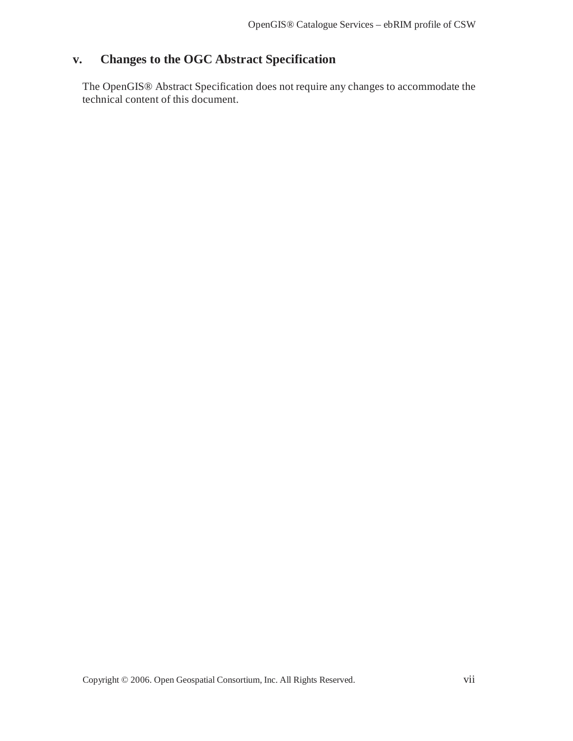# **v. Changes to the OGC Abstract Specification**

The OpenGIS® Abstract Specification does not require any changes to accommodate the technical content of this document.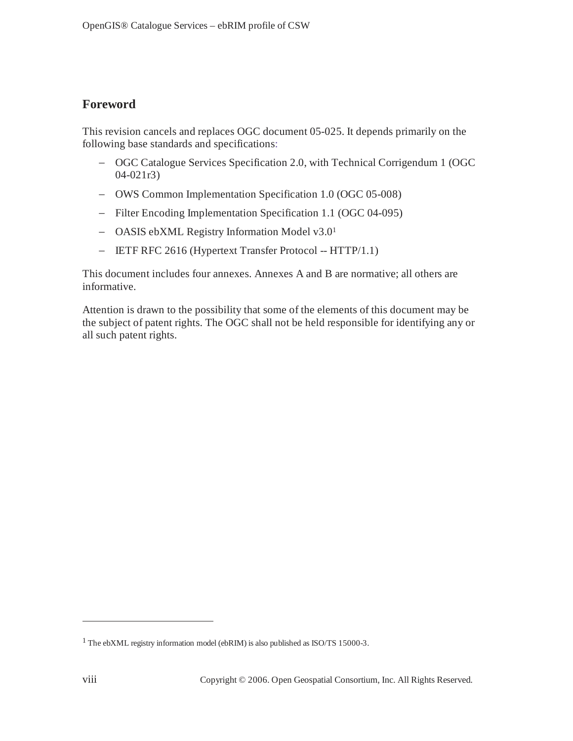# **Foreword**

This revision cancels and replaces OGC document 05-025. It depends primarily on the following base standards and specifications:

- − OGC Catalogue Services Specification 2.0, with Technical Corrigendum 1 (OGC 04-021r3)
- − OWS Common Implementation Specification 1.0 (OGC 05-008)
- − Filter Encoding Implementation Specification 1.1 (OGC 04-095)
- − OASIS ebXML Registry Information Model v3.01
- − IETF RFC 2616 (Hypertext Transfer Protocol -- HTTP/1.1)

This document includes four annexes. Annexes A and B are normative; all others are informative.

Attention is drawn to the possibility that some of the elements of this document may be the subject of patent rights. The OGC shall not be held responsible for identifying any or all such patent rights.

 $\overline{a}$ 

<sup>&</sup>lt;sup>1</sup> The ebXML registry information model (ebRIM) is also published as ISO/TS 15000-3.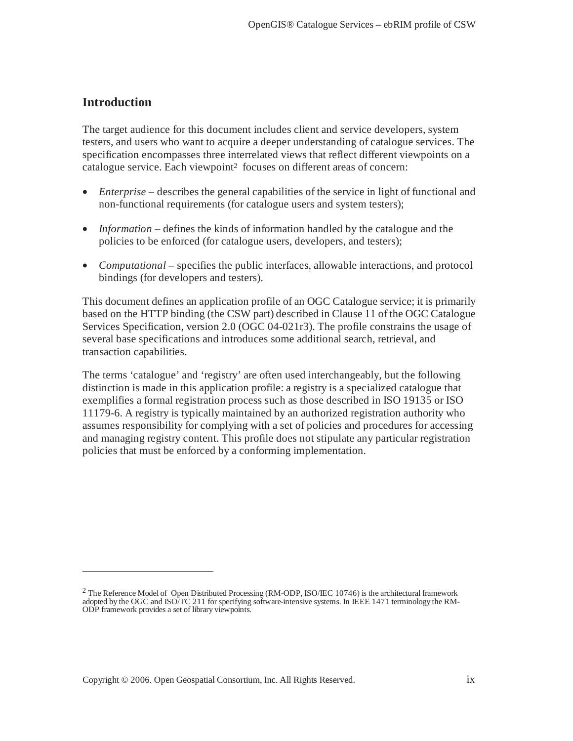# **Introduction**

 $\overline{a}$ 

The target audience for this document includes client and service developers, system testers, and users who want to acquire a deeper understanding of catalogue services. The specification encompasses three interrelated views that reflect different viewpoints on a catalogue service. Each viewpoint<sup>2</sup> focuses on different areas of concern:

- *Enterprise* describes the general capabilities of the service in light of functional and non-functional requirements (for catalogue users and system testers);
- *Information* defines the kinds of information handled by the catalogue and the policies to be enforced (for catalogue users, developers, and testers);
- *Computational* specifies the public interfaces, allowable interactions, and protocol bindings (for developers and testers).

This document defines an application profile of an OGC Catalogue service; it is primarily based on the HTTP binding (the CSW part) described in Clause 11 of the OGC Catalogue Services Specification, version 2.0 (OGC 04-021r3). The profile constrains the usage of several base specifications and introduces some additional search, retrieval, and transaction capabilities.

The terms 'catalogue' and 'registry' are often used interchangeably, but the following distinction is made in this application profile: a registry is a specialized catalogue that exemplifies a formal registration process such as those described in ISO 19135 or ISO 11179-6. A registry is typically maintained by an authorized registration authority who assumes responsibility for complying with a set of policies and procedures for accessing and managing registry content. This profile does not stipulate any particular registration policies that must be enforced by a conforming implementation.

 $2$  The Reference Model of Open Distributed Processing (RM-ODP, ISO/IEC 10746) is the architectural framework adopted by the OGC and ISO/TC 211 for specifying software-intensive systems. In IEEE 1471 terminology the RM-ODP framework provides a set of library viewpoints.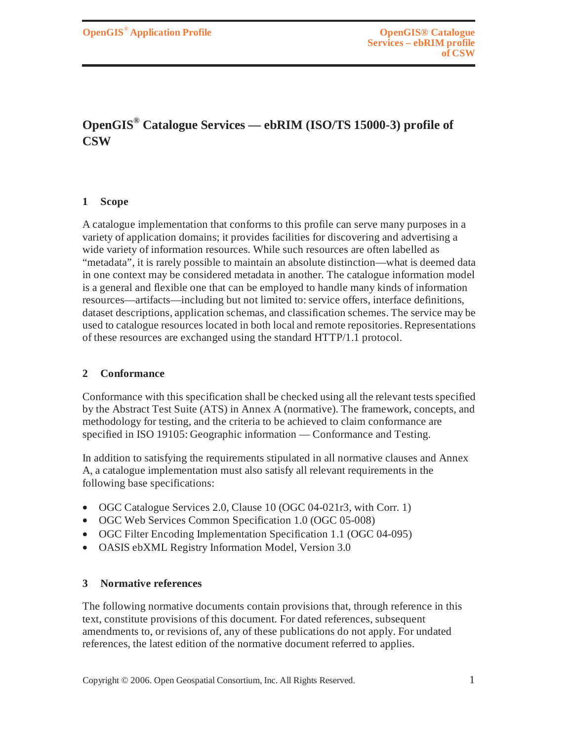# **OpenGIS® Catalogue Services — ebRIM (ISO/TS 15000-3) profile of CSW**

#### **1 Scope**

A catalogue implementation that conforms to this profile can serve many purposes in a variety of application domains; it provides facilities for discovering and advertising a wide variety of information resources. While such resources are often labelled as "metadata", it is rarely possible to maintain an absolute distinction—what is deemed data in one context may be considered metadata in another. The catalogue information model is a general and flexible one that can be employed to handle many kinds of information resources—artifacts—including but not limited to: service offers, interface definitions, dataset descriptions, application schemas, and classification schemes. The service may be used to catalogue resources located in both local and remote repositories. Representations of these resources are exchanged using the standard HTTP/1.1 protocol.

#### **2 Conformance**

Conformance with this specification shall be checked using all the relevant tests specified by the Abstract Test Suite (ATS) in Annex A (normative). The framework, concepts, and methodology for testing, and the criteria to be achieved to claim conformance are specified in ISO 19105: Geographic information — Conformance and Testing.

In addition to satisfying the requirements stipulated in all normative clauses and Annex A, a catalogue implementation must also satisfy all relevant requirements in the following base specifications:

- OGC Catalogue Services 2.0, Clause 10 (OGC 04-021r3, with Corr. 1)
- OGC Web Services Common Specification 1.0 (OGC 05-008)
- OGC Filter Encoding Implementation Specification 1.1 (OGC 04-095)
- OASIS ebXML Registry Information Model, Version 3.0

#### **3 Normative references**

The following normative documents contain provisions that, through reference in this text, constitute provisions of this document. For dated references, subsequent amendments to, or revisions of, any of these publications do not apply. For undated references, the latest edition of the normative document referred to applies.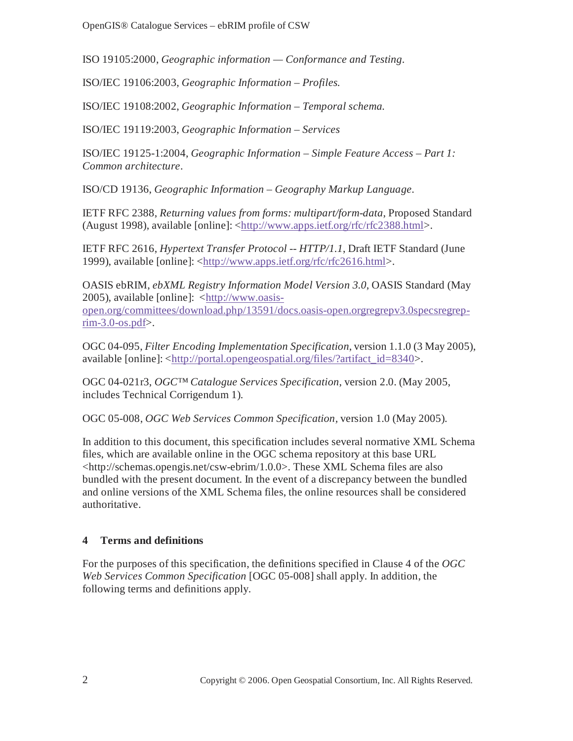ISO 19105:2000, *Geographic information — Conformance and Testing.*

ISO/IEC 19106:2003, *Geographic Information – Profiles.* 

ISO/IEC 19108:2002, *Geographic Information – Temporal schema.*

ISO/IEC 19119:2003, *Geographic Information – Services*

ISO/IEC 19125-1:2004, *Geographic Information – Simple Feature Access – Part 1: Common architecture*.

ISO/CD 19136, *Geographic Information – Geography Markup Language*.

IETF RFC 2388, *Returning values from forms: multipart/form-data*, Proposed Standard (August 1998), available [online]: <http://www.apps.ietf.org/rfc/rfc2388.html>.

IETF RFC 2616, *Hypertext Transfer Protocol -- HTTP/1.1*, Draft IETF Standard (June 1999), available [online]: <http://www.apps.ietf.org/rfc/rfc2616.html>.

OASIS ebRIM, *ebXML Registry Information Model Version 3.0*, OASIS Standard (May 2005), available [online]: <http://www.oasis-

open.org/committees/download.php/13591/docs.oasis-open.orgregrepv3.0specsregrep $rim-3.0$ -os.pdf>.

OGC 04-095, *Filter Encoding Implementation Specification*, version 1.1.0 (3 May 2005), available [online]: <http://portal.opengeospatial.org/files/?artifact\_id=8340>.

OGC 04-021r3, *OGC™ Catalogue Services Specification*, version 2.0. (May 2005, includes Technical Corrigendum 1).

OGC 05-008, *OGC Web Services Common Specification,* version 1.0 (May 2005).

In addition to this document, this specification includes several normative XML Schema files, which are available online in the OGC schema repository at this base URL  $\lt$ http://schemas.opengis.net/csw-ebrim/1.0.0>. These XML Schema files are also bundled with the present document. In the event of a discrepancy between the bundled and online versions of the XML Schema files, the online resources shall be considered authoritative.

## **4 Terms and definitions**

For the purposes of this specification, the definitions specified in Clause 4 of the *OGC Web Services Common Specification* [OGC 05-008] shall apply. In addition, the following terms and definitions apply.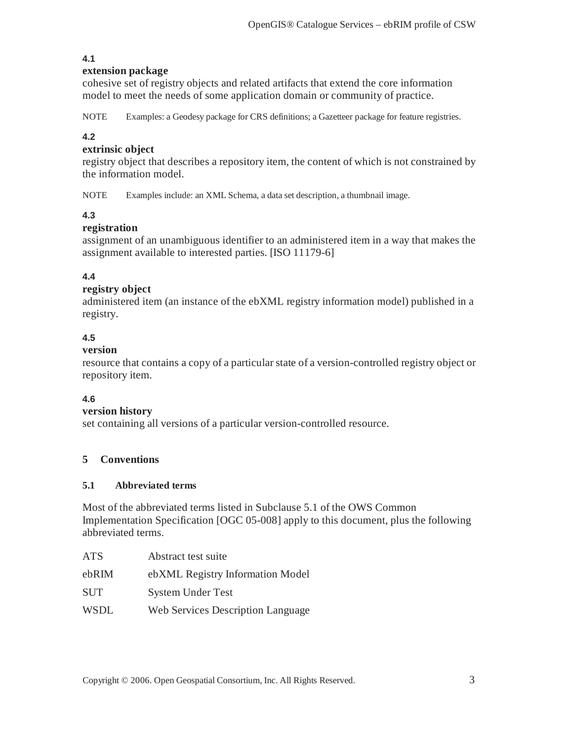## **4.1**

#### **extension package**

cohesive set of registry objects and related artifacts that extend the core information model to meet the needs of some application domain or community of practice.

NOTE Examples: a Geodesy package for CRS definitions; a Gazetteer package for feature registries.

#### **4.2**

### **extrinsic object**

registry object that describes a repository item, the content of which is not constrained by the information model.

NOTE Examples include: an XML Schema, a data set description, a thumbnail image.

## **4.3**

#### **registration**

assignment of an unambiguous identifier to an administered item in a way that makes the assignment available to interested parties. [ISO 11179-6]

## **4.4**

### **registry object**

administered item (an instance of the ebXML registry information model) published in a registry.

## **4.5**

#### **version**

resource that contains a copy of a particular state of a version-controlled registry object or repository item.

#### **4.6**

#### **version history**

set containing all versions of a particular version-controlled resource.

#### **5 Conventions**

#### **5.1 Abbreviated terms**

Most of the abbreviated terms listed in Subclause 5.1 of the OWS Common Implementation Specification [OGC 05-008] apply to this document, plus the following abbreviated terms.

| ATS.        | Abstract test suite                      |
|-------------|------------------------------------------|
| ebRIM       | ebXML Registry Information Model         |
| <b>SUT</b>  | <b>System Under Test</b>                 |
| <b>WSDL</b> | <b>Web Services Description Language</b> |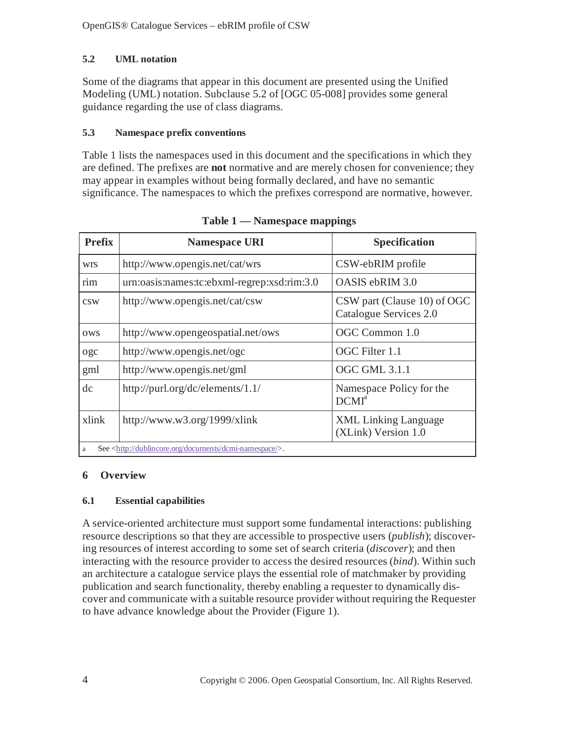# **5.2 UML notation**

Some of the diagrams that appear in this document are presented using the Unified Modeling (UML) notation. Subclause 5.2 of [OGC 05-008] provides some general guidance regarding the use of class diagrams.

## **5.3 Namespace prefix conventions**

Table 1 lists the namespaces used in this document and the specifications in which they are defined. The prefixes are **not** normative and are merely chosen for convenience; they may appear in examples without being formally declared, and have no semantic significance. The namespaces to which the prefixes correspond are normative, however.

| <b>Prefix</b> | <b>Namespace URI</b>                                                   | <b>Specification</b>                                  |
|---------------|------------------------------------------------------------------------|-------------------------------------------------------|
| <b>WIS</b>    | http://www.opengis.net/cat/wrs                                         | CSW-ebRIM profile                                     |
| rim           | urn:oasis:names:tc:ebxml-regrep:xsd:rim:3.0                            | OASIS ebRIM 3.0                                       |
| CSW           | http://www.opengis.net/cat/csw                                         | CSW part (Clause 10) of OGC<br>Catalogue Services 2.0 |
| <b>OWS</b>    | http://www.opengeospatial.net/ows                                      | OGC Common 1.0                                        |
| ogc           | http://www.opengis.net/ogc                                             | OGC Filter 1.1                                        |
| gml           | http://www.opengis.net/gml                                             | <b>OGC GML 3.1.1</b>                                  |
| dc            | http://purl.org/dc/elements/1.1/                                       | Namespace Policy for the<br>DCMI <sup>a</sup>         |
| xlink         | http://www.w3.org/1999/xlink                                           | <b>XML</b> Linking Language<br>(XLink) Version 1.0    |
| a             | See <http: dcmi-namespace="" documents="" dublincore.org=""></http:> . |                                                       |

**Table 1 — Namespace mappings** 

# **6 Overview**

## **6.1 Essential capabilities**

A service-oriented architecture must support some fundamental interactions: publishing resource descriptions so that they are accessible to prospective users (*publish*); discovering resources of interest according to some set of search criteria (*discover*); and then interacting with the resource provider to access the desired resources (*bind*). Within such an architecture a catalogue service plays the essential role of matchmaker by providing publication and search functionality, thereby enabling a requester to dynamically discover and communicate with a suitable resource provider without requiring the Requester to have advance knowledge about the Provider (Figure 1).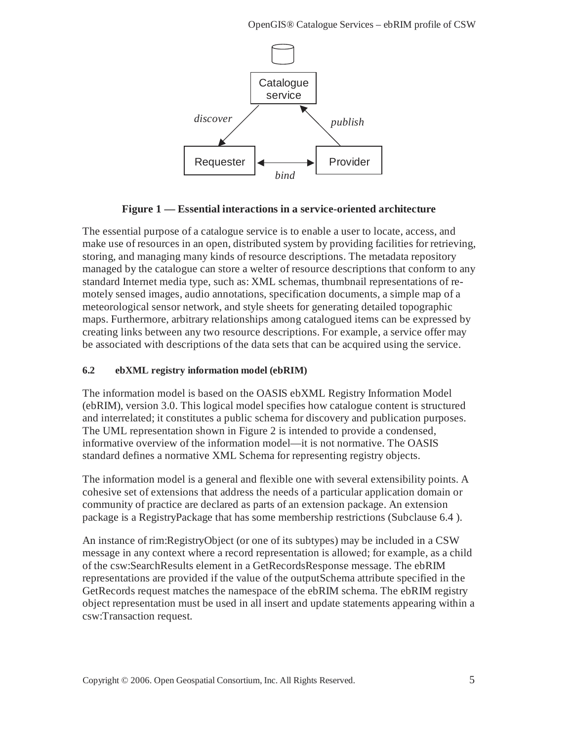

**Figure 1 — Essential interactions in a service-oriented architecture** 

The essential purpose of a catalogue service is to enable a user to locate, access, and make use of resources in an open, distributed system by providing facilities for retrieving, storing, and managing many kinds of resource descriptions. The metadata repository managed by the catalogue can store a welter of resource descriptions that conform to any standard Internet media type, such as: XML schemas, thumbnail representations of remotely sensed images, audio annotations, specification documents, a simple map of a meteorological sensor network, and style sheets for generating detailed topographic maps. Furthermore, arbitrary relationships among catalogued items can be expressed by creating links between any two resource descriptions. For example, a service offer may be associated with descriptions of the data sets that can be acquired using the service.

## **6.2 ebXML registry information model (ebRIM)**

The information model is based on the OASIS ebXML Registry Information Model (ebRIM), version 3.0. This logical model specifies how catalogue content is structured and interrelated; it constitutes a public schema for discovery and publication purposes. The UML representation shown in Figure 2 is intended to provide a condensed, informative overview of the information model—it is not normative. The OASIS standard defines a normative XML Schema for representing registry objects.

The information model is a general and flexible one with several extensibility points. A cohesive set of extensions that address the needs of a particular application domain or community of practice are declared as parts of an extension package. An extension package is a RegistryPackage that has some membership restrictions (Subclause 6.4 ).

An instance of rim:RegistryObject (or one of its subtypes) may be included in a CSW message in any context where a record representation is allowed; for example, as a child of the csw:SearchResults element in a GetRecordsResponse message. The ebRIM representations are provided if the value of the outputSchema attribute specified in the GetRecords request matches the namespace of the ebRIM schema. The ebRIM registry object representation must be used in all insert and update statements appearing within a csw:Transaction request.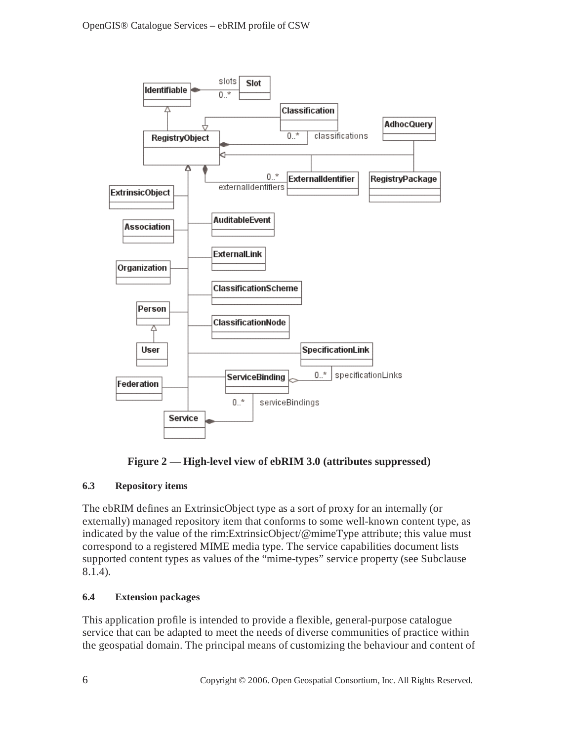



## **6.3 Repository items**

The ebRIM defines an ExtrinsicObject type as a sort of proxy for an internally (or externally) managed repository item that conforms to some well-known content type, as indicated by the value of the rim:ExtrinsicObject/@mimeType attribute; this value must correspond to a registered MIME media type. The service capabilities document lists supported content types as values of the "mime-types" service property (see Subclause 8.1.4).

## **6.4 Extension packages**

This application profile is intended to provide a flexible, general-purpose catalogue service that can be adapted to meet the needs of diverse communities of practice within the geospatial domain. The principal means of customizing the behaviour and content of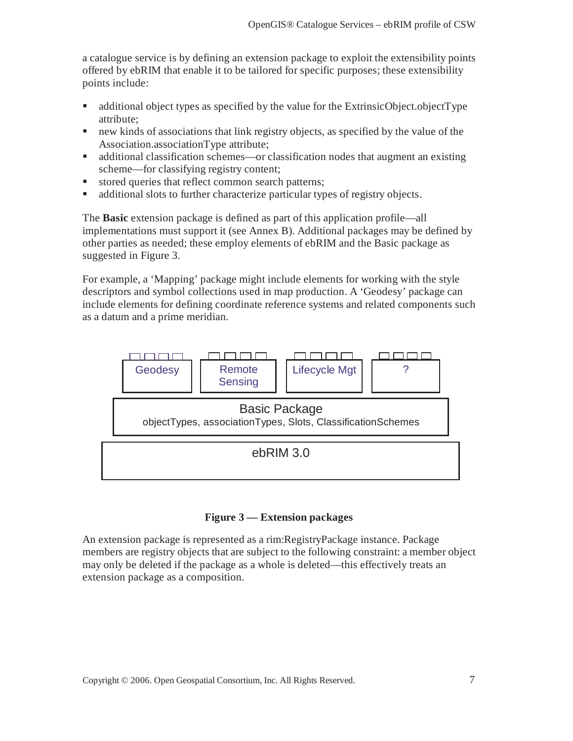a catalogue service is by defining an extension package to exploit the extensibility points offered by ebRIM that enable it to be tailored for specific purposes; these extensibility points include:

- additional object types as specified by the value for the ExtrinsicObject.objectType attribute;
- new kinds of associations that link registry objects, as specified by the value of the Association.associationType attribute;
- additional classification schemes—or classification nodes that augment an existing scheme—for classifying registry content;
- stored queries that reflect common search patterns;
- additional slots to further characterize particular types of registry objects.

The **Basic** extension package is defined as part of this application profile—all implementations must support it (see Annex B). Additional packages may be defined by other parties as needed; these employ elements of ebRIM and the Basic package as suggested in Figure 3.

For example, a 'Mapping' package might include elements for working with the style descriptors and symbol collections used in map production. A 'Geodesy' package can include elements for defining coordinate reference systems and related components such as a datum and a prime meridian.



## **Figure 3 — Extension packages**

An extension package is represented as a rim:RegistryPackage instance. Package members are registry objects that are subject to the following constraint: a member object may only be deleted if the package as a whole is deleted—this effectively treats an extension package as a composition.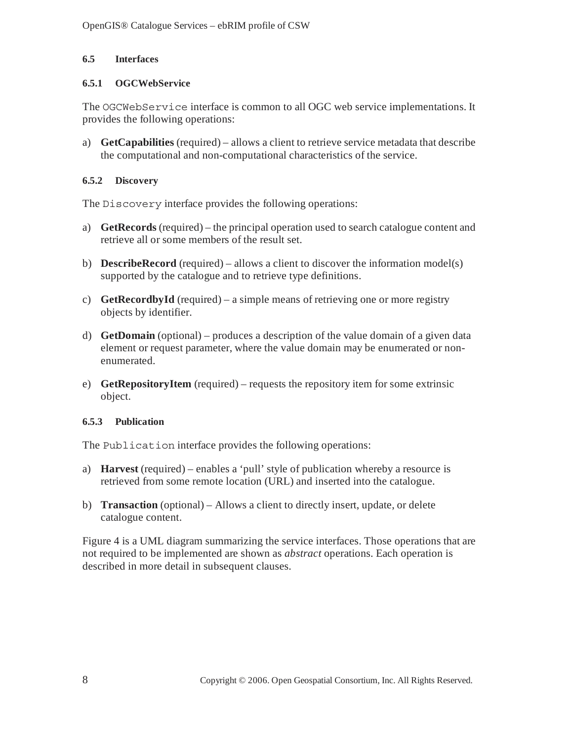## **6.5 Interfaces**

## **6.5.1 OGCWebService**

The OGCWebService interface is common to all OGC web service implementations. It provides the following operations:

a) **GetCapabilities** (required) – allows a client to retrieve service metadata that describe the computational and non-computational characteristics of the service.

## **6.5.2 Discovery**

The Discovery interface provides the following operations:

- a) **GetRecords** (required) the principal operation used to search catalogue content and retrieve all or some members of the result set.
- b) **DescribeRecord** (required) allows a client to discover the information model(s) supported by the catalogue and to retrieve type definitions.
- c) **GetRecordbyId** (required) a simple means of retrieving one or more registry objects by identifier.
- d) **GetDomain** (optional) produces a description of the value domain of a given data element or request parameter, where the value domain may be enumerated or nonenumerated.
- e) **GetRepositoryItem** (required) requests the repository item for some extrinsic object.

#### **6.5.3 Publication**

The Publication interface provides the following operations:

- a) **Harvest** (required) enables a 'pull' style of publication whereby a resource is retrieved from some remote location (URL) and inserted into the catalogue.
- b) **Transaction** (optional) Allows a client to directly insert, update, or delete catalogue content.

Figure 4 is a UML diagram summarizing the service interfaces. Those operations that are not required to be implemented are shown as *abstract* operations. Each operation is described in more detail in subsequent clauses.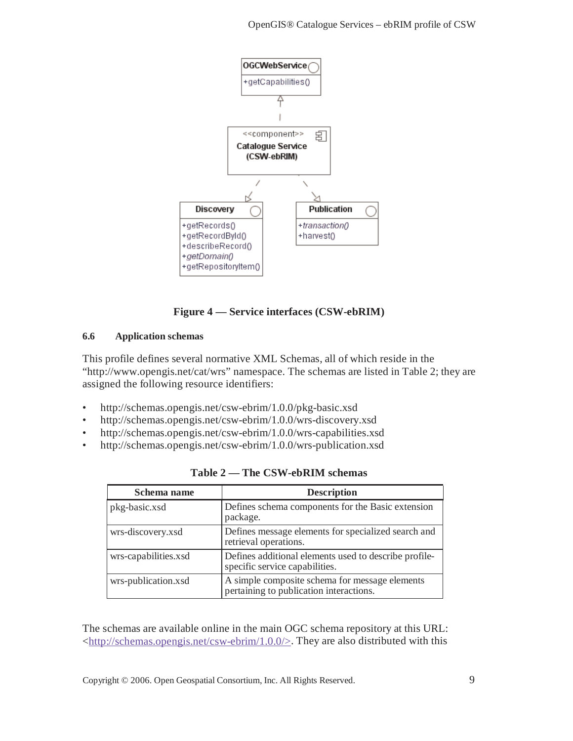

## **Figure 4 — Service interfaces (CSW-ebRIM)**

#### **6.6 Application schemas**

This profile defines several normative XML Schemas, all of which reside in the "http://www.opengis.net/cat/wrs" namespace. The schemas are listed in Table 2; they are assigned the following resource identifiers:

- http://schemas.opengis.net/csw-ebrim/1.0.0/pkg-basic.xsd
- http://schemas.opengis.net/csw-ebrim/1.0.0/wrs-discovery.xsd
- http://schemas.opengis.net/csw-ebrim/1.0.0/wrs-capabilities.xsd
- http://schemas.opengis.net/csw-ebrim/1.0.0/wrs-publication.xsd

| Schema name          | <b>Description</b>                                                                        |
|----------------------|-------------------------------------------------------------------------------------------|
| pkg-basic.xsd        | Defines schema components for the Basic extension<br>package.                             |
| wrs-discovery.xsd    | Defines message elements for specialized search and<br>retrieval operations.              |
| wrs-capabilities.xsd | Defines additional elements used to describe profile-<br>specific service capabilities.   |
| wrs-publication.xsd  | A simple composite schema for message elements<br>pertaining to publication interactions. |

| Table 2 — The CSW-ebRIM schemas |  |  |  |  |
|---------------------------------|--|--|--|--|
|---------------------------------|--|--|--|--|

The schemas are available online in the main OGC schema repository at this URL:  $\langle \frac{http://schemes.opengis.net/csw-ebrim/1.0.0/}{$ . They are also distributed with this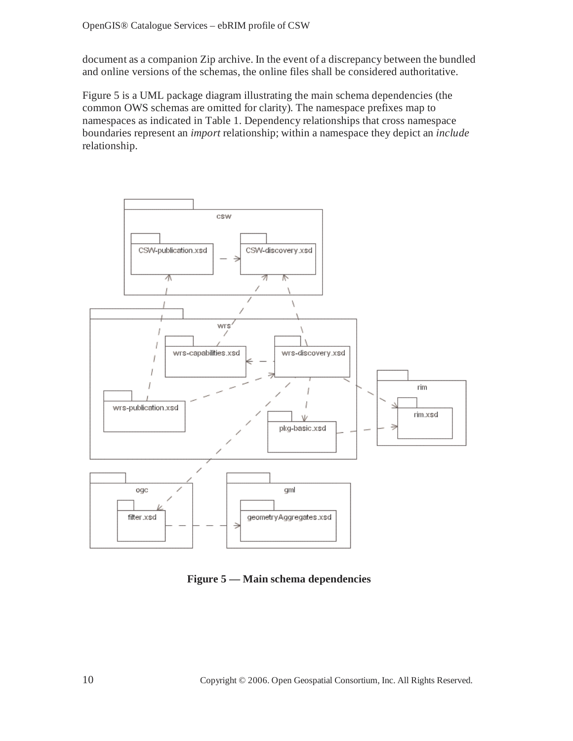document as a companion Zip archive. In the event of a discrepancy between the bundled and online versions of the schemas, the online files shall be considered authoritative.

Figure 5 is a UML package diagram illustrating the main schema dependencies (the common OWS schemas are omitted for clarity). The namespace prefixes map to namespaces as indicated in Table 1. Dependency relationships that cross namespace boundaries represent an *import* relationship; within a namespace they depict an *include* relationship.



**Figure 5 — Main schema dependencies**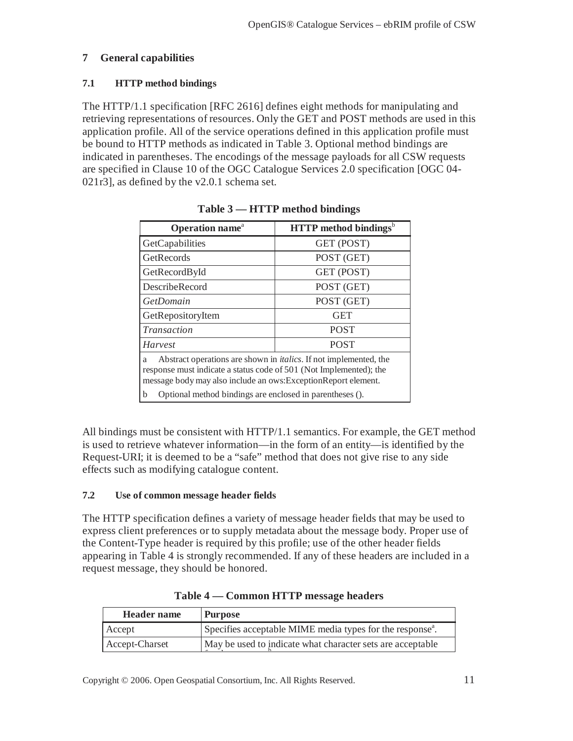## **7 General capabilities**

### **7.1 HTTP method bindings**

The HTTP/1.1 specification [RFC 2616] defines eight methods for manipulating and retrieving representations of resources. Only the GET and POST methods are used in this application profile. All of the service operations defined in this application profile must be bound to HTTP methods as indicated in Table 3. Optional method bindings are indicated in parentheses. The encodings of the message payloads for all CSW requests are specified in Clause 10 of the OGC Catalogue Services 2.0 specification [OGC 04- 021r3], as defined by the v2.0.1 schema set.

| Operation name <sup>a</sup>                                                                                                                                                                                             | <b>HTTP</b> method bindings <sup>b</sup> |  |
|-------------------------------------------------------------------------------------------------------------------------------------------------------------------------------------------------------------------------|------------------------------------------|--|
| GetCapabilities                                                                                                                                                                                                         | GET (POST)                               |  |
| GetRecords                                                                                                                                                                                                              | POST (GET)                               |  |
| GetRecordById                                                                                                                                                                                                           | GET (POST)                               |  |
| <b>DescribeRecord</b>                                                                                                                                                                                                   | POST (GET)                               |  |
| GetDomain                                                                                                                                                                                                               | POST (GET)                               |  |
| GetRepositoryItem                                                                                                                                                                                                       | <b>GET</b>                               |  |
| <b>POST</b><br>Transaction                                                                                                                                                                                              |                                          |  |
| <b>POST</b><br>Harvest                                                                                                                                                                                                  |                                          |  |
| Abstract operations are shown in <i>italics</i> . If not implemented, the<br>a<br>response must indicate a status code of 501 (Not Implemented); the<br>message body may also include an ows: Exception Report element. |                                          |  |
| b<br>Optional method bindings are enclosed in parentheses ().                                                                                                                                                           |                                          |  |

|  |  | Table 3 — HTTP method bindings |
|--|--|--------------------------------|
|  |  |                                |

All bindings must be consistent with HTTP/1.1 semantics. For example, the GET method is used to retrieve whatever information—in the form of an entity—is identified by the Request-URI; it is deemed to be a "safe" method that does not give rise to any side effects such as modifying catalogue content.

#### **7.2 Use of common message header fields**

The HTTP specification defines a variety of message header fields that may be used to express client preferences or to supply metadata about the message body. Proper use of the Content-Type header is required by this profile; use of the other header fields appearing in Table 4 is strongly recommended. If any of these headers are included in a request message, they should be honored.

| Specifies acceptable MIME media types for the response <sup>a</sup> . |
|-----------------------------------------------------------------------|
| May be used to indicate what character sets are acceptable            |
|                                                                       |

**Table 4 — Common HTTP message headers** 

Copyright © 2006. Open Geospatial Consortium, Inc. All Rights Reserved. 11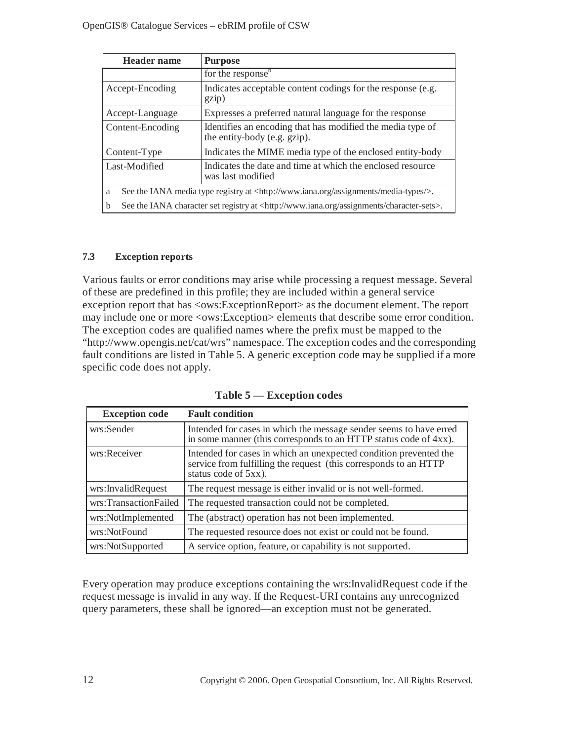| <b>Header</b> name                                                                                             | <b>Purpose</b>                                                                             |  |
|----------------------------------------------------------------------------------------------------------------|--------------------------------------------------------------------------------------------|--|
|                                                                                                                | for the response $\overline{ }$                                                            |  |
| Accept-Encoding                                                                                                | Indicates acceptable content codings for the response (e.g.<br>gzip)                       |  |
| Accept-Language                                                                                                | Expresses a preferred natural language for the response                                    |  |
| Content-Encoding                                                                                               | Identifies an encoding that has modified the media type of<br>the entity-body (e.g. gzip). |  |
| Content-Type                                                                                                   | Indicates the MIME media type of the enclosed entity-body                                  |  |
| Last-Modified                                                                                                  | Indicates the date and time at which the enclosed resource<br>was last modified            |  |
| See the IANA media type registry at <http: assignments="" media-types="" www.iana.org=""></http:> .<br>a       |                                                                                            |  |
| See the IANA character set registry at <http: assignments="" character-sets="" www.iana.org="">.<br/>b</http:> |                                                                                            |  |

## **7.3 Exception reports**

Various faults or error conditions may arise while processing a request message. Several of these are predefined in this profile; they are included within a general service exception report that has <ows:ExceptionReport> as the document element. The report may include one or more <ows:Exception> elements that describe some error condition. The exception codes are qualified names where the prefix must be mapped to the "http://www.opengis.net/cat/wrs" namespace. The exception codes and the corresponding fault conditions are listed in Table 5. A generic exception code may be supplied if a more specific code does not apply.

| <b>Exception code</b> | <b>Fault condition</b>                                                                                                                                        |
|-----------------------|---------------------------------------------------------------------------------------------------------------------------------------------------------------|
| wrs:Sender            | Intended for cases in which the message sender seems to have erred<br>in some manner (this corresponds to an HTTP status code of 4xx).                        |
| wrs:Receiver          | Intended for cases in which an unexpected condition prevented the<br>service from fulfilling the request (this corresponds to an HTTP<br>status code of 5xx). |
| wrs:InvalidRequest    | The request message is either invalid or is not well-formed.                                                                                                  |
| wrs:TransactionFailed | The requested transaction could not be completed.                                                                                                             |
| wrs:NotImplemented    | The (abstract) operation has not been implemented.                                                                                                            |
| wrs:NotFound          | The requested resource does not exist or could not be found.                                                                                                  |
| wrs:NotSupported      | A service option, feature, or capability is not supported.                                                                                                    |

**Table 5 — Exception codes** 

Every operation may produce exceptions containing the wrs:InvalidRequest code if the request message is invalid in any way. If the Request-URI contains any unrecognized query parameters, these shall be ignored—an exception must not be generated.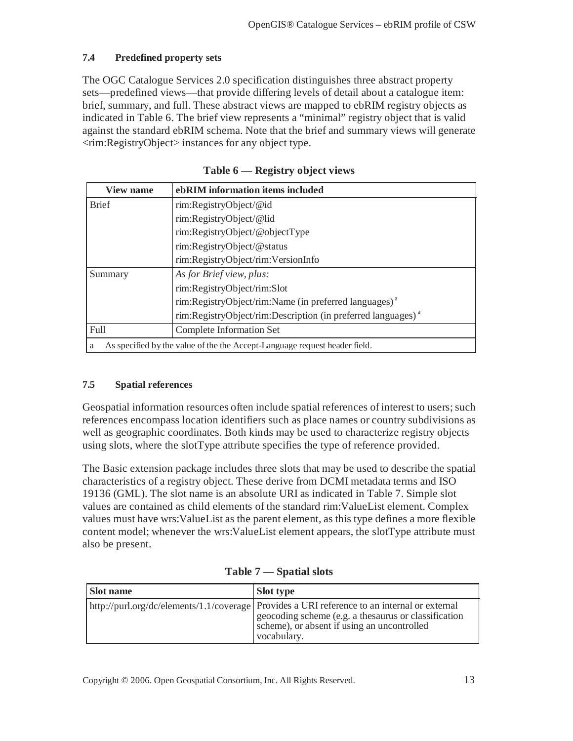### **7.4 Predefined property sets**

The OGC Catalogue Services 2.0 specification distinguishes three abstract property sets—predefined views—that provide differing levels of detail about a catalogue item: brief, summary, and full. These abstract views are mapped to ebRIM registry objects as indicated in Table 6. The brief view represents a "minimal" registry object that is valid against the standard ebRIM schema. Note that the brief and summary views will generate <rim:RegistryObject> instances for any object type.

| <b>View name</b> | ebRIM information items included                                           |
|------------------|----------------------------------------------------------------------------|
| <b>Brief</b>     | rim:RegistryObject/@id                                                     |
|                  | rim:RegistryObject/@lid                                                    |
|                  | rim:RegistryObject/@objectType                                             |
|                  | rim:RegistryObject/@status                                                 |
|                  | rim:RegistryObject/rim:VersionInfo                                         |
| Summary          | As for Brief view, plus:                                                   |
|                  | rim:RegistryObject/rim:Slot                                                |
|                  | rim:RegistryObject/rim:Name (in preferred languages) <sup>a</sup>          |
|                  | rim:RegistryObject/rim:Description (in preferred languages) <sup>a</sup>   |
| Full             | Complete Information Set                                                   |
| a                | As specified by the value of the the Accept-Language request header field. |

| Table 6 — Registry object views |  |  |  |
|---------------------------------|--|--|--|
|---------------------------------|--|--|--|

#### **7.5 Spatial references**

Geospatial information resources often include spatial references of interest to users; such references encompass location identifiers such as place names or country subdivisions as well as geographic coordinates. Both kinds may be used to characterize registry objects using slots, where the slotType attribute specifies the type of reference provided.

The Basic extension package includes three slots that may be used to describe the spatial characteristics of a registry object. These derive from DCMI metadata terms and ISO 19136 (GML). The slot name is an absolute URI as indicated in Table 7. Simple slot values are contained as child elements of the standard rim:ValueList element. Complex values must have wrs:ValueList as the parent element, as this type defines a more flexible content model; whenever the wrs:ValueList element appears, the slotType attribute must also be present.

| <b>Slot name</b> | <b>Slot type</b>                                                                                                                                                                                                    |
|------------------|---------------------------------------------------------------------------------------------------------------------------------------------------------------------------------------------------------------------|
|                  | http://purl.org/dc/elements/1.1/coverage Provides a URI reference to an internal or external<br>geocoding scheme (e.g. a the saurus or classification<br>scheme), or absent if using an uncontrolled<br>vocabulary. |

**Table 7 — Spatial slots**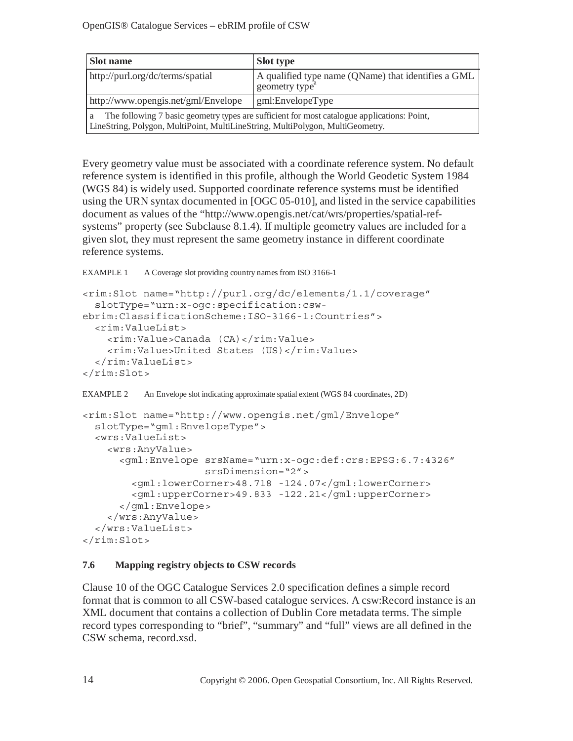| Slot name                                                                                                                                                                          | <b>Slot type</b>                                                                  |
|------------------------------------------------------------------------------------------------------------------------------------------------------------------------------------|-----------------------------------------------------------------------------------|
| http://purl.org/dc/terms/spatial                                                                                                                                                   | A qualified type name (QName) that identifies a GML<br>geometry type <sup>a</sup> |
| http://www.opengis.net/gml/Envelope<br>gml:EnvelopeType                                                                                                                            |                                                                                   |
| The following 7 basic geometry types are sufficient for most catalogue applications: Point,<br>a<br>LineString, Polygon, MultiPoint, MultiLineString, MultiPolygon, MultiGeometry. |                                                                                   |

Every geometry value must be associated with a coordinate reference system. No default reference system is identified in this profile, although the World Geodetic System 1984 (WGS 84) is widely used. Supported coordinate reference systems must be identified using the URN syntax documented in [OGC 05-010], and listed in the service capabilities document as values of the "http://www.opengis.net/cat/wrs/properties/spatial-refsystems" property (see Subclause 8.1.4). If multiple geometry values are included for a given slot, they must represent the same geometry instance in different coordinate reference systems.

```
EXAMPLE 1 A Coverage slot providing country names from ISO 3166-1
```

```
<rim:Slot name="http://purl.org/dc/elements/1.1/coverage" 
   slotType="urn:x-ogc:specification:csw-
ebrim:ClassificationScheme:ISO-3166-1:Countries"> 
   <rim:ValueList> 
     <rim:Value>Canada (CA)</rim:Value> 
     <rim:Value>United States (US)</rim:Value> 
   </rim:ValueList> 
\langlerim:Slot>
```
EXAMPLE 2 An Envelope slot indicating approximate spatial extent (WGS 84 coordinates, 2D)

```
<rim:Slot name="http://www.opengis.net/gml/Envelope" 
   slotType="gml:EnvelopeType"> 
   <wrs:ValueList> 
     <wrs:AnyValue> 
       <gml:Envelope srsName="urn:x-ogc:def:crs:EPSG:6.7:4326" 
                      srsDimension="2"> 
         <gml:lowerCorner>48.718 -124.07</gml:lowerCorner> 
         <gml:upperCorner>49.833 -122.21</gml:upperCorner> 
       </gml:Envelope> 
     </wrs:AnyValue> 
   </wrs:ValueList> 
\langlerim:Slot>
```
#### **7.6 Mapping registry objects to CSW records**

Clause 10 of the OGC Catalogue Services 2.0 specification defines a simple record format that is common to all CSW-based catalogue services. A csw:Record instance is an XML document that contains a collection of Dublin Core metadata terms. The simple record types corresponding to "brief", "summary" and "full" views are all defined in the CSW schema, record.xsd.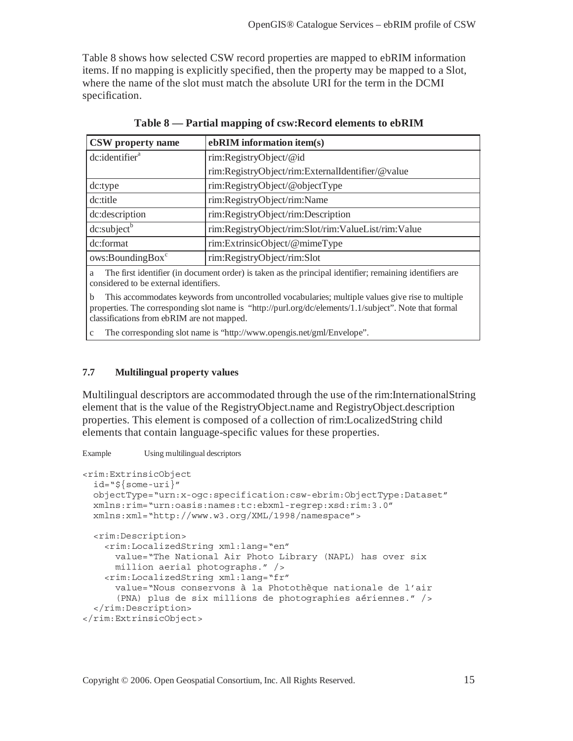Table 8 shows how selected CSW record properties are mapped to ebRIM information items. If no mapping is explicitly specified, then the property may be mapped to a Slot, where the name of the slot must match the absolute URI for the term in the DCMI specification.

| CSW property name            | ebRIM information item(s)                           |
|------------------------------|-----------------------------------------------------|
| dc:identifier <sup>a</sup>   | rim:RegistryObject/@id                              |
|                              | rim:RegistryObject/rim:ExternalIdentifier/@value    |
| dc:type                      | rim:RegistryObject/@objectType                      |
| dc:title                     | rim:RegistryObject/rim:Name                         |
| dc:description               | rim:RegistryObject/rim:Description                  |
| dc:subject <sup>b</sup>      | rim:RegistryObject/rim:Slot/rim:ValueList/rim:Value |
| dc:format                    | rim:ExtrinsicObject/@mimeType                       |
| ows:BoundingBox <sup>c</sup> | rim:RegistryObject/rim:Slot                         |

**Table 8 — Partial mapping of csw:Record elements to ebRIM** 

a The first identifier (in document order) is taken as the principal identifier; remaining identifiers are considered to be external identifiers.

b This accommodates keywords from uncontrolled vocabularies; multiple values give rise to multiple properties. The corresponding slot name is "http://purl.org/dc/elements/1.1/subject". Note that formal classifications from ebRIM are not mapped.

c The corresponding slot name is "http://www.opengis.net/gml/Envelope".

#### **7.7 Multilingual property values**

Multilingual descriptors are accommodated through the use of the rim:InternationalString element that is the value of the RegistryObject.name and RegistryObject.description properties. This element is composed of a collection of rim:LocalizedString child elements that contain language-specific values for these properties.

Example Using multilingual descriptors

```
<rim:ExtrinsicObject 
   id="${some-uri}" 
   objectType="urn:x-ogc:specification:csw-ebrim:ObjectType:Dataset" 
  xmlns:rim="urn:oasis:names:tc:ebxml-regrep:xsd:rim:3.0" 
  xmlns:xml="http://www.w3.org/XML/1998/namespace"> 
   <rim:Description> 
     <rim:LocalizedString xml:lang="en" 
       value="The National Air Photo Library (NAPL) has over six 
       million aerial photographs." /> 
     <rim:LocalizedString xml:lang="fr" 
       value="Nous conservons à la Photothèque nationale de l'air 
       (PNA) plus de six millions de photographies aériennes." /> 
   </rim:Description> 
</rim:ExtrinsicObject>
```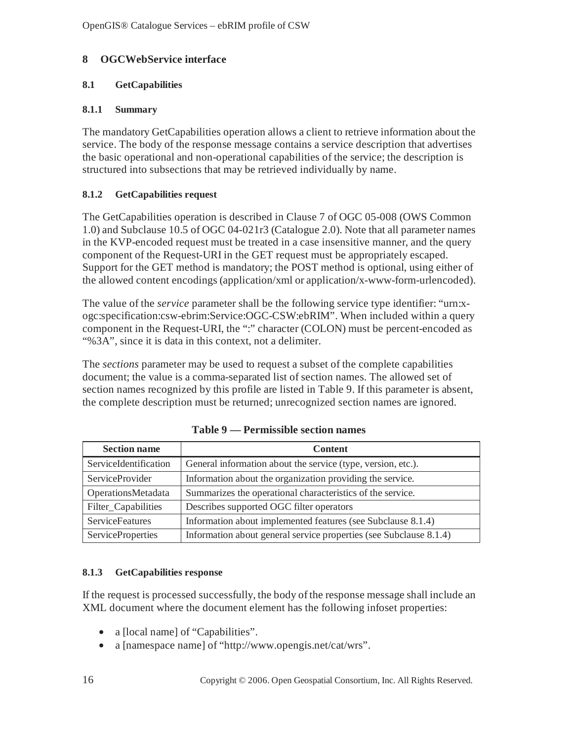## **8 OGCWebService interface**

## **8.1 GetCapabilities**

## **8.1.1 Summary**

The mandatory GetCapabilities operation allows a client to retrieve information about the service. The body of the response message contains a service description that advertises the basic operational and non-operational capabilities of the service; the description is structured into subsections that may be retrieved individually by name.

## **8.1.2 GetCapabilities request**

The GetCapabilities operation is described in Clause 7 of OGC 05-008 (OWS Common 1.0) and Subclause 10.5 of OGC 04-021r3 (Catalogue 2.0). Note that all parameter names in the KVP-encoded request must be treated in a case insensitive manner, and the query component of the Request-URI in the GET request must be appropriately escaped. Support for the GET method is mandatory; the POST method is optional, using either of the allowed content encodings (application/xml or application/x-www-form-urlencoded).

The value of the *service* parameter shall be the following service type identifier: "urn:xogc:specification:csw-ebrim:Service:OGC-CSW:ebRIM". When included within a query component in the Request-URI, the ":" character (COLON) must be percent-encoded as "%3A", since it is data in this context, not a delimiter.

The *sections* parameter may be used to request a subset of the complete capabilities document; the value is a comma-separated list of section names. The allowed set of section names recognized by this profile are listed in Table 9. If this parameter is absent, the complete description must be returned; unrecognized section names are ignored.

| <b>Section name</b>      | <b>Content</b>                                                     |
|--------------------------|--------------------------------------------------------------------|
| ServiceIdentification    | General information about the service (type, version, etc.).       |
| <b>ServiceProvider</b>   | Information about the organization providing the service.          |
| OperationsMetadata       | Summarizes the operational characteristics of the service.         |
| Filter_Capabilities      | Describes supported OGC filter operators                           |
| <b>ServiceFeatures</b>   | Information about implemented features (see Subclause 8.1.4)       |
| <b>ServiceProperties</b> | Information about general service properties (see Subclause 8.1.4) |

**Table 9 — Permissible section names** 

#### **8.1.3 GetCapabilities response**

If the request is processed successfully, the body of the response message shall include an XML document where the document element has the following infoset properties:

- a [local name] of "Capabilities".
- a [namespace name] of "http://www.opengis.net/cat/wrs".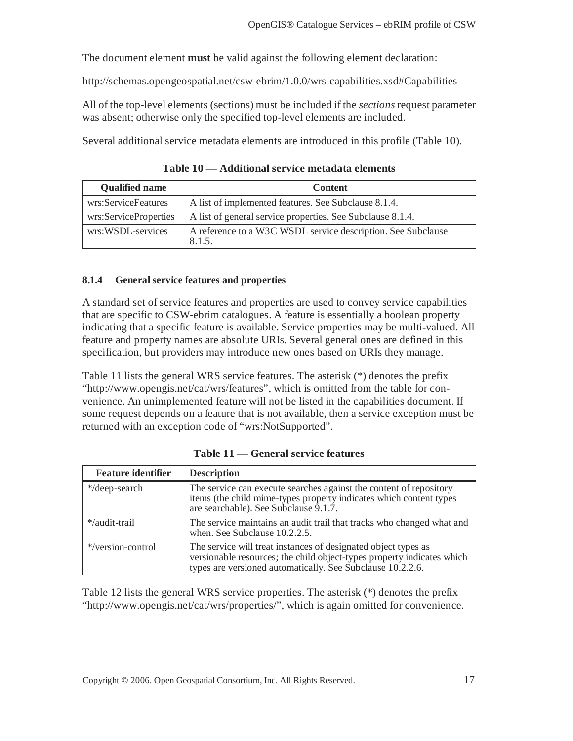The document element **must** be valid against the following element declaration:

http://schemas.opengeospatial.net/csw-ebrim/1.0.0/wrs-capabilities.xsd#Capabilities

All of the top-level elements (sections) must be included if the *sections* request parameter was absent; otherwise only the specified top-level elements are included.

Several additional service metadata elements are introduced in this profile (Table 10).

**Qualified name**  $\qquad$  **Content** wrs:ServiceFeatures  $\parallel$  A list of implemented features. See Subclause 8.1.4. wrs:ServiceProperties  $\parallel$  A list of general service properties. See Subclause 8.1.4. wrs:WSDL-services  $A$  reference to a W3C WSDL service description. See Subclause 8.1.5.

**Table 10 — Additional service metadata elements** 

#### **8.1.4 General service features and properties**

A standard set of service features and properties are used to convey service capabilities that are specific to CSW-ebrim catalogues. A feature is essentially a boolean property indicating that a specific feature is available. Service properties may be multi-valued. All feature and property names are absolute URIs. Several general ones are defined in this specification, but providers may introduce new ones based on URIs they manage.

Table 11 lists the general WRS service features. The asterisk (\*) denotes the prefix "http://www.opengis.net/cat/wrs/features", which is omitted from the table for convenience. An unimplemented feature will not be listed in the capabilities document. If some request depends on a feature that is not available, then a service exception must be returned with an exception code of "wrs:NotSupported".

| <b>Feature identifier</b> | <b>Description</b>                                                                                                                                                                                     |
|---------------------------|--------------------------------------------------------------------------------------------------------------------------------------------------------------------------------------------------------|
| */deep-search             | The service can execute searches against the content of repository<br>items (the child mime-types property indicates which content types<br>are searchable). See Subclause 9.1.7.                      |
| */audit-trail             | The service maintains an audit trail that tracks who changed what and<br>when. See Subclause 10.2.2.5.                                                                                                 |
| */version-control         | The service will treat instances of designated object types as<br>versionable resources; the child object-types property indicates which<br>types are versioned automatically. See Subclause 10.2.2.6. |

**Table 11 — General service features** 

Table 12 lists the general WRS service properties. The asterisk (\*) denotes the prefix "http://www.opengis.net/cat/wrs/properties/", which is again omitted for convenience.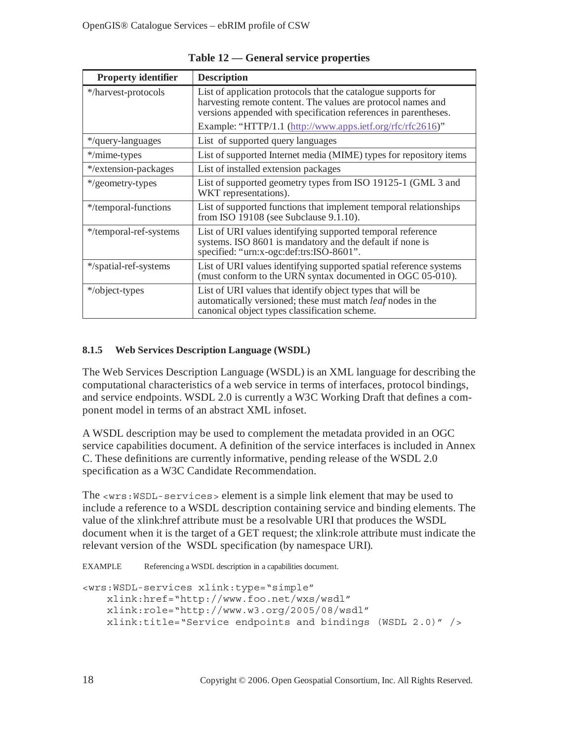| <b>Property identifier</b> | <b>Description</b>                                                                                                                                                                               |
|----------------------------|--------------------------------------------------------------------------------------------------------------------------------------------------------------------------------------------------|
| */harvest-protocols        | List of application protocols that the catalogue supports for<br>harvesting remote content. The values are protocol names and<br>versions appended with specification references in parentheses. |
|                            | Example: "HTTP/1.1 (http://www.apps.ietf.org/rfc/rfc2616)"                                                                                                                                       |
| */query-languages          | List of supported query languages                                                                                                                                                                |
| */mime-types               | List of supported Internet media (MIME) types for repository items                                                                                                                               |
| */extension-packages       | List of installed extension packages                                                                                                                                                             |
| */geometry-types           | List of supported geometry types from ISO 19125-1 (GML 3 and<br>WKT representations).                                                                                                            |
| */temporal-functions       | List of supported functions that implement temporal relationships<br>from ISO 19108 (see Subclause 9.1.10).                                                                                      |
| */temporal-ref-systems     | List of URI values identifying supported temporal reference<br>systems. ISO 8601 is mandatory and the default if none is<br>specified: "urn:x-ogc:def:trs:ISO-8601".                             |
| */spatial-ref-systems      | List of URI values identifying supported spatial reference systems<br>(must conform to the URN syntax documented in OGC 05-010).                                                                 |
| */object-types             | List of URI values that identify object types that will be<br>automatically versioned; these must match leaf nodes in the<br>canonical object types classification scheme.                       |

**Table 12 — General service properties** 

## **8.1.5 Web Services Description Language (WSDL)**

The Web Services Description Language (WSDL) is an XML language for describing the computational characteristics of a web service in terms of interfaces, protocol bindings, and service endpoints. WSDL 2.0 is currently a W3C Working Draft that defines a component model in terms of an abstract XML infoset.

A WSDL description may be used to complement the metadata provided in an OGC service capabilities document. A definition of the service interfaces is included in Annex C. These definitions are currently informative, pending release of the WSDL 2.0 specification as a W3C Candidate Recommendation.

The <wrs:WSDL-services> element is a simple link element that may be used to include a reference to a WSDL description containing service and binding elements. The value of the xlink:href attribute must be a resolvable URI that produces the WSDL document when it is the target of a GET request; the xlink:role attribute must indicate the relevant version of the WSDL specification (by namespace URI).

EXAMPLE Referencing a WSDL description in a capabilities document.

```
<wrs:WSDL-services xlink:type="simple" 
     xlink:href="http://www.foo.net/wxs/wsdl" 
     xlink:role="http://www.w3.org/2005/08/wsdl" 
     xlink:title="Service endpoints and bindings (WSDL 2.0)" />
```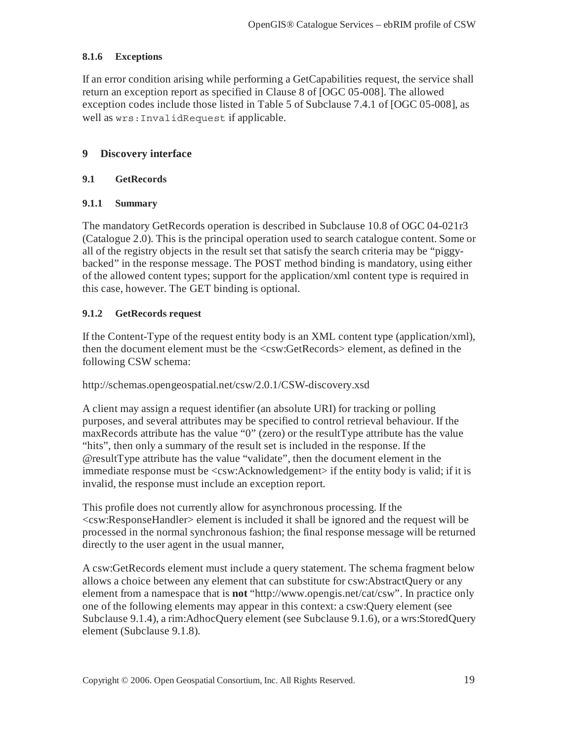#### **8.1.6 Exceptions**

If an error condition arising while performing a GetCapabilities request, the service shall return an exception report as specified in Clause 8 of [OGC 05-008]. The allowed exception codes include those listed in Table 5 of Subclause 7.4.1 of [OGC 05-008], as well as wrs:InvalidRequest if applicable.

#### **9 Discovery interface**

#### **9.1 GetRecords**

#### **9.1.1 Summary**

The mandatory GetRecords operation is described in Subclause 10.8 of OGC 04-021r3 (Catalogue 2.0). This is the principal operation used to search catalogue content. Some or all of the registry objects in the result set that satisfy the search criteria may be "piggybacked" in the response message. The POST method binding is mandatory, using either of the allowed content types; support for the application/xml content type is required in this case, however. The GET binding is optional.

#### **9.1.2 GetRecords request**

If the Content-Type of the request entity body is an XML content type (application/xml), then the document element must be the <csw:GetRecords> element, as defined in the following CSW schema:

#### http://schemas.opengeospatial.net/csw/2.0.1/CSW-discovery.xsd

A client may assign a request identifier (an absolute URI) for tracking or polling purposes, and several attributes may be specified to control retrieval behaviour. If the maxRecords attribute has the value "0" (zero) or the resultType attribute has the value "hits", then only a summary of the result set is included in the response. If the @resultType attribute has the value "validate", then the document element in the immediate response must be <csw:Acknowledgement> if the entity body is valid; if it is invalid, the response must include an exception report.

This profile does not currently allow for asynchronous processing. If the <csw:ResponseHandler> element is included it shall be ignored and the request will be processed in the normal synchronous fashion; the final response message will be returned directly to the user agent in the usual manner,

A csw:GetRecords element must include a query statement. The schema fragment below allows a choice between any element that can substitute for csw:AbstractQuery or any element from a namespace that is **not** "http://www.opengis.net/cat/csw". In practice only one of the following elements may appear in this context: a csw:Query element (see Subclause 9.1.4), a rim:AdhocQuery element (see Subclause 9.1.6), or a wrs:StoredQuery element (Subclause 9.1.8).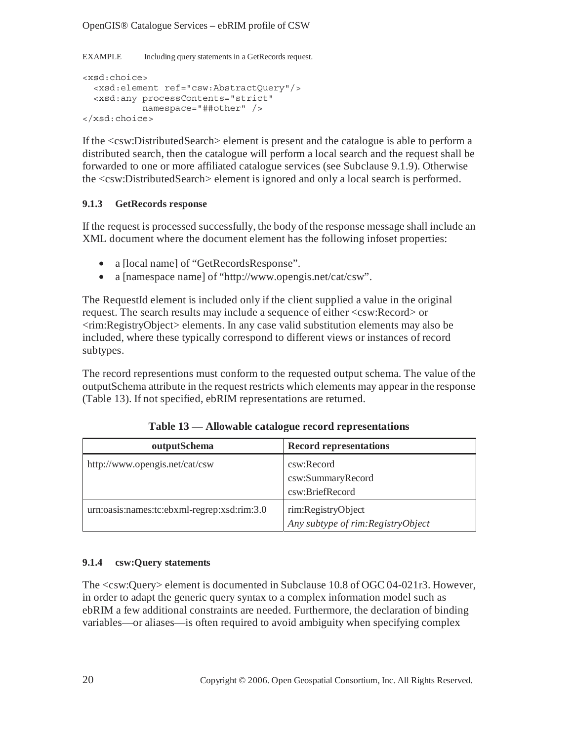OpenGIS® Catalogue Services – ebRIM profile of CSW

EXAMPLE Including query statements in a GetRecords request.

```
<xsd:choice> 
   <xsd:element ref="csw:AbstractQuery"/> 
   <xsd:any processContents="strict" 
            namespace="##other" /> 
</xsd:choice>
```
If the <csw:DistributedSearch> element is present and the catalogue is able to perform a distributed search, then the catalogue will perform a local search and the request shall be forwarded to one or more affiliated catalogue services (see Subclause 9.1.9). Otherwise the <csw:DistributedSearch> element is ignored and only a local search is performed.

#### **9.1.3 GetRecords response**

If the request is processed successfully, the body of the response message shall include an XML document where the document element has the following infoset properties:

- a [local name] of "GetRecordsResponse".
- a [namespace name] of "http://www.opengis.net/cat/csw".

The RequestId element is included only if the client supplied a value in the original request. The search results may include a sequence of either <csw:Record> or <rim:RegistryObject> elements. In any case valid substitution elements may also be included, where these typically correspond to different views or instances of record subtypes.

The record representions must conform to the requested output schema. The value of the outputSchema attribute in the request restricts which elements may appear in the response (Table 13). If not specified, ebRIM representations are returned.

| outputSchema                                | <b>Record representations</b>      |
|---------------------------------------------|------------------------------------|
| http://www.opengis.net/cat/csw              | csw:Record                         |
|                                             | csw:SummaryRecord                  |
|                                             | csw:BriefRecord                    |
| urn:oasis:names:tc:ebxml-regrep:xsd:rim:3.0 | rim:RegistryObject                 |
|                                             | Any subtype of rim: RegistryObject |

**Table 13 — Allowable catalogue record representations** 

#### **9.1.4 csw:Query statements**

The <csw:Query> element is documented in Subclause 10.8 of OGC 04-021r3. However, in order to adapt the generic query syntax to a complex information model such as ebRIM a few additional constraints are needed. Furthermore, the declaration of binding variables—or aliases—is often required to avoid ambiguity when specifying complex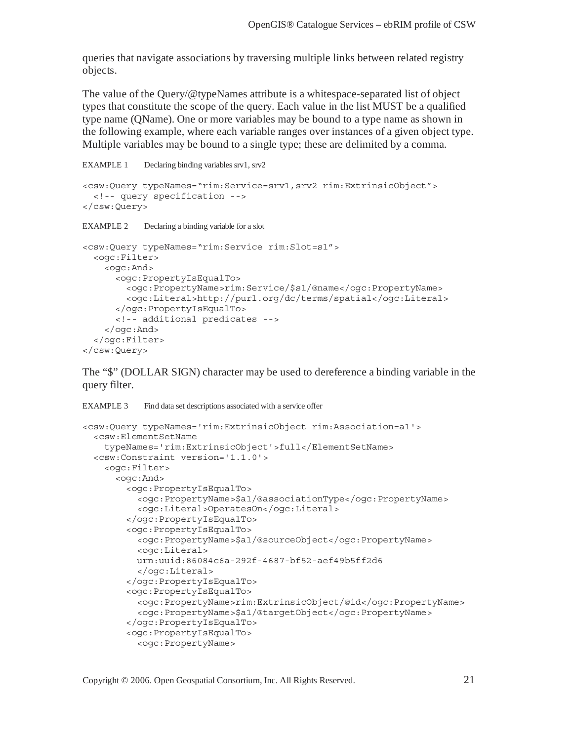queries that navigate associations by traversing multiple links between related registry objects.

The value of the Query/@typeNames attribute is a whitespace-separated list of object types that constitute the scope of the query. Each value in the list MUST be a qualified type name (QName). One or more variables may be bound to a type name as shown in the following example, where each variable ranges over instances of a given object type. Multiple variables may be bound to a single type; these are delimited by a comma.

```
EXAMPLE 1 Declaring binding variables srv1, srv2
```

```
<csw:Query typeNames="rim:Service=srv1,srv2 rim:ExtrinsicObject"> 
   <!-- query specification --> 
</csw:Query> 
EXAMPLE 2 Declaring a binding variable for a slot
<csw:Query typeNames="rim:Service rim:Slot=s1"> 
   <ogc:Filter> 
     <ogc:And> 
       <ogc:PropertyIsEqualTo> 
         <ogc:PropertyName>rim:Service/$s1/@name</ogc:PropertyName> 
         <ogc:Literal>http://purl.org/dc/terms/spatial</ogc:Literal> 
       </ogc:PropertyIsEqualTo> 
       <!-- additional predicates --> 
     </ogc:And> 
   </ogc:Filter> 
</csw:Query>
```
The "\$" (DOLLAR SIGN) character may be used to dereference a binding variable in the query filter.

```
EXAMPLE 3 Find data set descriptions associated with a service offer
<csw:Query typeNames='rim:ExtrinsicObject rim:Association=a1'> 
  <csw:ElementSetName 
     typeNames='rim:ExtrinsicObject'>full</ElementSetName> 
   <csw:Constraint version='1.1.0'> 
     <ogc:Filter> 
       <ogc:And> 
         <ogc:PropertyIsEqualTo> 
            <ogc:PropertyName>$a1/@associationType</ogc:PropertyName> 
           <ogc:Literal>OperatesOn</ogc:Literal> 
         </ogc:PropertyIsEqualTo> 
         <ogc:PropertyIsEqualTo> 
            <ogc:PropertyName>$a1/@sourceObject</ogc:PropertyName> 
           <ogc:Literal> 
           urn:uuid:86084c6a-292f-4687-bf52-aef49b5ff2d6 
           </ogc:Literal> 
         </ogc:PropertyIsEqualTo> 
         <ogc:PropertyIsEqualTo> 
            <ogc:PropertyName>rim:ExtrinsicObject/@id</ogc:PropertyName> 
            <ogc:PropertyName>$a1/@targetObject</ogc:PropertyName> 
         </ogc:PropertyIsEqualTo> 
         <ogc:PropertyIsEqualTo> 
            <ogc:PropertyName>
```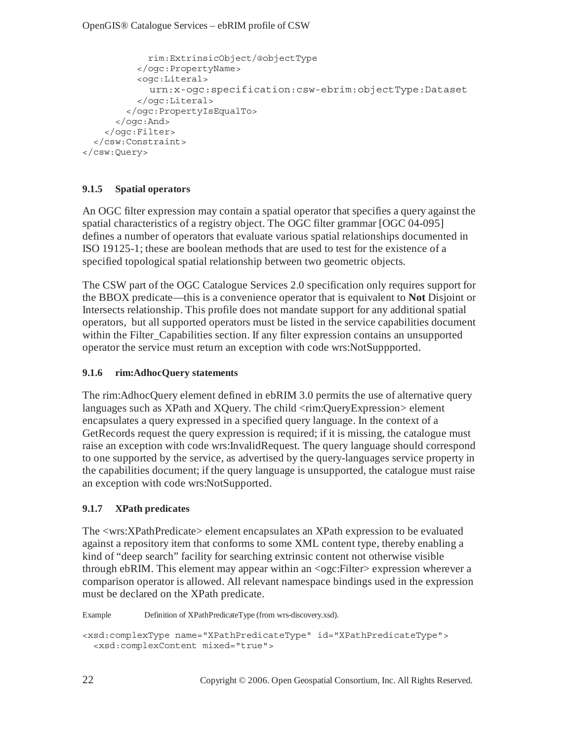```
 rim:ExtrinsicObject/@objectType 
           </ogc:PropertyName> 
           <ogc:Literal>
             urn:x-ogc:specification:csw-ebrim:objectType:Dataset
           </ogc:Literal> 
         </ogc:PropertyIsEqualTo> 
       </ogc:And> 
     </ogc:Filter> 
   </csw:Constraint> 
</csw:Query>
```
## **9.1.5 Spatial operators**

An OGC filter expression may contain a spatial operator that specifies a query against the spatial characteristics of a registry object. The OGC filter grammar [OGC 04-095] defines a number of operators that evaluate various spatial relationships documented in ISO 19125-1; these are boolean methods that are used to test for the existence of a specified topological spatial relationship between two geometric objects.

The CSW part of the OGC Catalogue Services 2.0 specification only requires support for the BBOX predicate—this is a convenience operator that is equivalent to **Not** Disjoint or Intersects relationship. This profile does not mandate support for any additional spatial operators, but all supported operators must be listed in the service capabilities document within the Filter–Capabilities section. If any filter expression contains an unsupported operator the service must return an exception with code wrs:NotSuppported.

#### **9.1.6 rim:AdhocQuery statements**

The rim:AdhocQuery element defined in ebRIM 3.0 permits the use of alternative query languages such as XPath and XQuery. The child <rim:QueryExpression> element encapsulates a query expressed in a specified query language. In the context of a GetRecords request the query expression is required; if it is missing, the catalogue must raise an exception with code wrs:InvalidRequest. The query language should correspond to one supported by the service, as advertised by the query-languages service property in the capabilities document; if the query language is unsupported, the catalogue must raise an exception with code wrs:NotSupported.

#### **9.1.7 XPath predicates**

The <wrs:XPathPredicate> element encapsulates an XPath expression to be evaluated against a repository item that conforms to some XML content type, thereby enabling a kind of "deep search" facility for searching extrinsic content not otherwise visible through ebRIM. This element may appear within an <ogc:Filter> expression wherever a comparison operator is allowed. All relevant namespace bindings used in the expression must be declared on the XPath predicate.

Example Definition of XPathPredicateType (from wrs-discovery.xsd).

```
<xsd:complexType name="XPathPredicateType" id="XPathPredicateType"> 
   <xsd:complexContent mixed="true">
```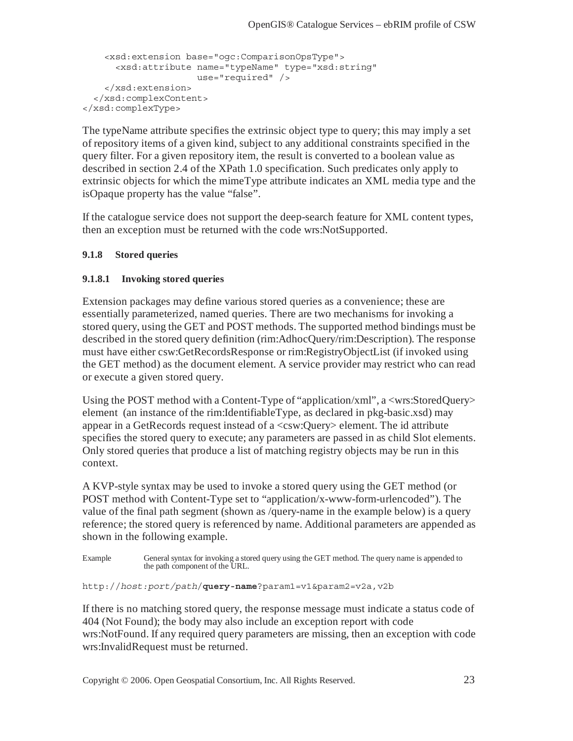```
 <xsd:extension base="ogc:ComparisonOpsType"> 
       <xsd:attribute name="typeName" type="xsd:string" 
                      use="required" /> 
     </xsd:extension> 
   </xsd:complexContent> 
</xsd:complexType>
```
The typeName attribute specifies the extrinsic object type to query; this may imply a set of repository items of a given kind, subject to any additional constraints specified in the query filter. For a given repository item, the result is converted to a boolean value as described in section 2.4 of the XPath 1.0 specification. Such predicates only apply to extrinsic objects for which the mimeType attribute indicates an XML media type and the isOpaque property has the value "false".

If the catalogue service does not support the deep-search feature for XML content types, then an exception must be returned with the code wrs:NotSupported.

#### **9.1.8 Stored queries**

#### **9.1.8.1 Invoking stored queries**

Extension packages may define various stored queries as a convenience; these are essentially parameterized, named queries. There are two mechanisms for invoking a stored query, using the GET and POST methods. The supported method bindings must be described in the stored query definition (rim:AdhocQuery/rim:Description). The response must have either csw:GetRecordsResponse or rim:RegistryObjectList (if invoked using the GET method) as the document element. A service provider may restrict who can read or execute a given stored query.

Using the POST method with a Content-Type of "application/xml", a <wrs:StoredQuery> element (an instance of the rim:IdentifiableType, as declared in pkg-basic.xsd) may appear in a GetRecords request instead of a <csw:Query> element. The id attribute specifies the stored query to execute; any parameters are passed in as child Slot elements. Only stored queries that produce a list of matching registry objects may be run in this context.

A KVP-style syntax may be used to invoke a stored query using the GET method (or POST method with Content-Type set to "application/x-www-form-urlencoded"). The value of the final path segment (shown as /query-name in the example below) is a query reference; the stored query is referenced by name. Additional parameters are appended as shown in the following example.

```
Example General syntax for invoking a stored query using the GET method. The query name is appended to 
                the path component of the URL.
```

```
http://host:port/path/query-name?param1=v1&param2=v2a,v2b
```
If there is no matching stored query, the response message must indicate a status code of 404 (Not Found); the body may also include an exception report with code wrs:NotFound. If any required query parameters are missing, then an exception with code wrs:InvalidRequest must be returned.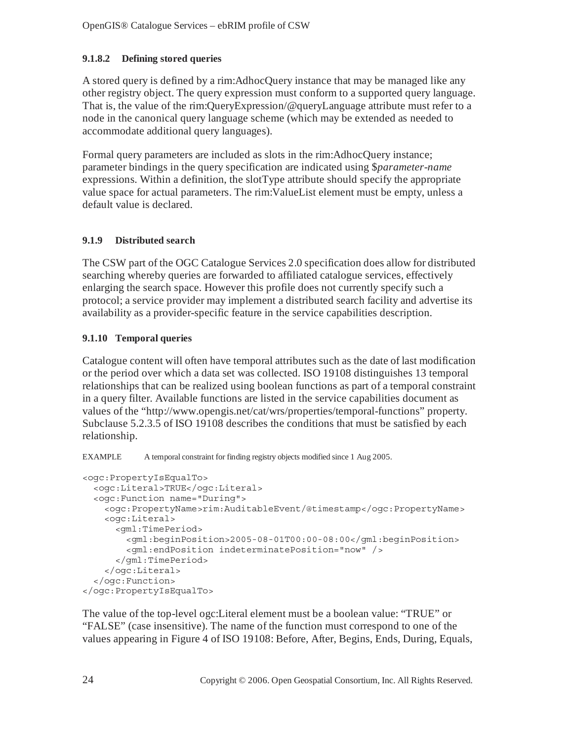## **9.1.8.2 Defining stored queries**

A stored query is defined by a rim:AdhocQuery instance that may be managed like any other registry object. The query expression must conform to a supported query language. That is, the value of the rim:QueryExpression/@queryLanguage attribute must refer to a node in the canonical query language scheme (which may be extended as needed to accommodate additional query languages).

Formal query parameters are included as slots in the rim:AdhocQuery instance; parameter bindings in the query specification are indicated using \$*parameter-name* expressions. Within a definition, the slotType attribute should specify the appropriate value space for actual parameters. The rim:ValueList element must be empty, unless a default value is declared.

## **9.1.9 Distributed search**

The CSW part of the OGC Catalogue Services 2.0 specification does allow for distributed searching whereby queries are forwarded to affiliated catalogue services, effectively enlarging the search space. However this profile does not currently specify such a protocol; a service provider may implement a distributed search facility and advertise its availability as a provider-specific feature in the service capabilities description.

## **9.1.10 Temporal queries**

Catalogue content will often have temporal attributes such as the date of last modification or the period over which a data set was collected. ISO 19108 distinguishes 13 temporal relationships that can be realized using boolean functions as part of a temporal constraint in a query filter. Available functions are listed in the service capabilities document as values of the "http://www.opengis.net/cat/wrs/properties/temporal-functions" property. Subclause 5.2.3.5 of ISO 19108 describes the conditions that must be satisfied by each relationship.

EXAMPLE A temporal constraint for finding registry objects modified since 1 Aug 2005.

```
<ogc:PropertyIsEqualTo> 
   <ogc:Literal>TRUE</ogc:Literal> 
   <ogc:Function name="During"> 
     <ogc:PropertyName>rim:AuditableEvent/@timestamp</ogc:PropertyName> 
     <ogc:Literal> 
       <gml:TimePeriod> 
         <gml:beginPosition>2005-08-01T00:00-08:00</gml:beginPosition> 
         <gml:endPosition indeterminatePosition="now" /> 
       </gml:TimePeriod> 
     </ogc:Literal> 
   </ogc:Function> 
</ogc:PropertyIsEqualTo>
```
The value of the top-level ogc:Literal element must be a boolean value: "TRUE" or "FALSE" (case insensitive). The name of the function must correspond to one of the values appearing in Figure 4 of ISO 19108: Before, After, Begins, Ends, During, Equals,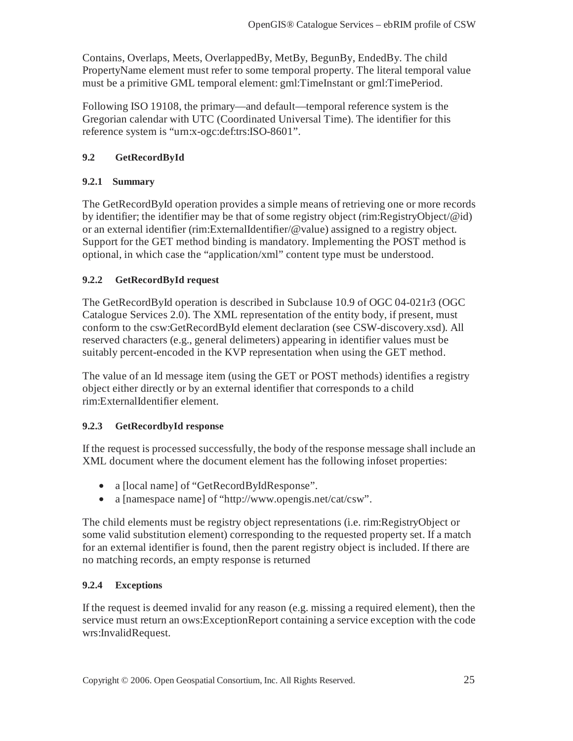Contains, Overlaps, Meets, OverlappedBy, MetBy, BegunBy, EndedBy. The child PropertyName element must refer to some temporal property. The literal temporal value must be a primitive GML temporal element: gml:TimeInstant or gml:TimePeriod.

Following ISO 19108, the primary—and default—temporal reference system is the Gregorian calendar with UTC (Coordinated Universal Time). The identifier for this reference system is "urn:x-ogc:def:trs:ISO-8601".

## **9.2 GetRecordById**

## **9.2.1 Summary**

The GetRecordById operation provides a simple means of retrieving one or more records by identifier; the identifier may be that of some registry object (rim:RegistryObject/@id) or an external identifier (rim:ExternalIdentifier/@value) assigned to a registry object. Support for the GET method binding is mandatory. Implementing the POST method is optional, in which case the "application/xml" content type must be understood.

## **9.2.2 GetRecordById request**

The GetRecordById operation is described in Subclause 10.9 of OGC 04-021r3 (OGC Catalogue Services 2.0). The XML representation of the entity body, if present, must conform to the csw:GetRecordById element declaration (see CSW-discovery.xsd). All reserved characters (e.g., general delimeters) appearing in identifier values must be suitably percent-encoded in the KVP representation when using the GET method.

The value of an Id message item (using the GET or POST methods) identifies a registry object either directly or by an external identifier that corresponds to a child rim:ExternalIdentifier element.

#### **9.2.3 GetRecordbyId response**

If the request is processed successfully, the body of the response message shall include an XML document where the document element has the following infoset properties:

- a [local name] of "GetRecordByIdResponse".
- a [namespace name] of "http://www.opengis.net/cat/csw".

The child elements must be registry object representations (i.e. rim:RegistryObject or some valid substitution element) corresponding to the requested property set. If a match for an external identifier is found, then the parent registry object is included. If there are no matching records, an empty response is returned

#### **9.2.4 Exceptions**

If the request is deemed invalid for any reason (e.g. missing a required element), then the service must return an ows:ExceptionReport containing a service exception with the code wrs:InvalidRequest.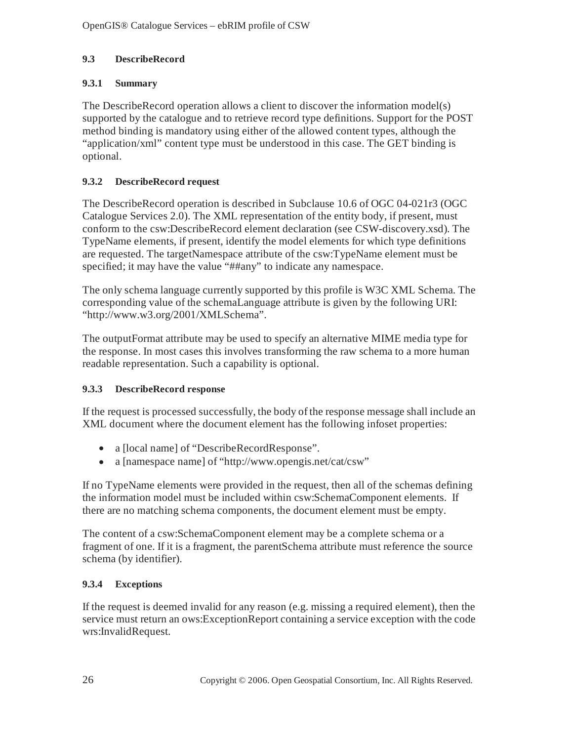## **9.3 DescribeRecord**

## **9.3.1 Summary**

The DescribeRecord operation allows a client to discover the information model(s) supported by the catalogue and to retrieve record type definitions. Support for the POST method binding is mandatory using either of the allowed content types, although the "application/xml" content type must be understood in this case. The GET binding is optional.

## **9.3.2 DescribeRecord request**

The DescribeRecord operation is described in Subclause 10.6 of OGC 04-021r3 (OGC Catalogue Services 2.0). The XML representation of the entity body, if present, must conform to the csw:DescribeRecord element declaration (see CSW-discovery.xsd). The TypeName elements, if present, identify the model elements for which type definitions are requested. The targetNamespace attribute of the csw:TypeName element must be specified; it may have the value "##any" to indicate any namespace.

The only schema language currently supported by this profile is W3C XML Schema. The corresponding value of the schemaLanguage attribute is given by the following URI: "http://www.w3.org/2001/XMLSchema".

The outputFormat attribute may be used to specify an alternative MIME media type for the response. In most cases this involves transforming the raw schema to a more human readable representation. Such a capability is optional.

## **9.3.3 DescribeRecord response**

If the request is processed successfully, the body of the response message shall include an XML document where the document element has the following infoset properties:

- a [local name] of "DescribeRecordResponse".
- a [namespace name] of "http://www.opengis.net/cat/csw"

If no TypeName elements were provided in the request, then all of the schemas defining the information model must be included within csw:SchemaComponent elements. If there are no matching schema components, the document element must be empty.

The content of a csw:SchemaComponent element may be a complete schema or a fragment of one. If it is a fragment, the parentSchema attribute must reference the source schema (by identifier).

## **9.3.4 Exceptions**

If the request is deemed invalid for any reason (e.g. missing a required element), then the service must return an ows:ExceptionReport containing a service exception with the code wrs:InvalidRequest.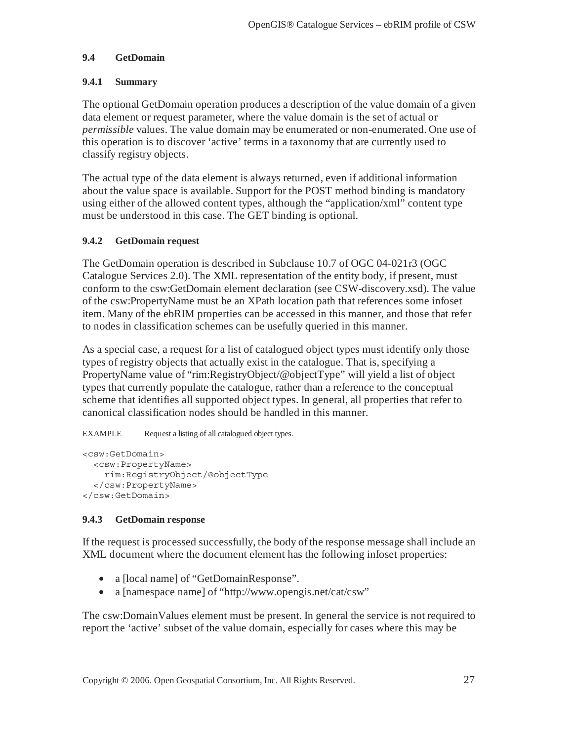#### **9.4 GetDomain**

#### **9.4.1 Summary**

The optional GetDomain operation produces a description of the value domain of a given data element or request parameter, where the value domain is the set of actual or *permissible* values. The value domain may be enumerated or non-enumerated. One use of this operation is to discover 'active' terms in a taxonomy that are currently used to classify registry objects.

The actual type of the data element is always returned, even if additional information about the value space is available. Support for the POST method binding is mandatory using either of the allowed content types, although the "application/xml" content type must be understood in this case. The GET binding is optional.

#### **9.4.2 GetDomain request**

The GetDomain operation is described in Subclause 10.7 of OGC 04-021r3 (OGC Catalogue Services 2.0). The XML representation of the entity body, if present, must conform to the csw:GetDomain element declaration (see CSW-discovery.xsd). The value of the csw:PropertyName must be an XPath location path that references some infoset item. Many of the ebRIM properties can be accessed in this manner, and those that refer to nodes in classification schemes can be usefully queried in this manner.

As a special case, a request for a list of catalogued object types must identify only those types of registry objects that actually exist in the catalogue. That is, specifying a PropertyName value of "rim:RegistryObject/@objectType" will yield a list of object types that currently populate the catalogue, rather than a reference to the conceptual scheme that identifies all supported object types. In general, all properties that refer to canonical classification nodes should be handled in this manner.

EXAMPLE Request a listing of all catalogued object types.

```
<csw:GetDomain> 
   <csw:PropertyName> 
     rim:RegistryObject/@objectType 
   </csw:PropertyName> 
</csw:GetDomain>
```
## **9.4.3 GetDomain response**

If the request is processed successfully, the body of the response message shall include an XML document where the document element has the following infoset properties:

- a [local name] of "GetDomainResponse".
- a [namespace name] of "http://www.opengis.net/cat/csw"

The csw:DomainValues element must be present. In general the service is not required to report the 'active' subset of the value domain, especially for cases where this may be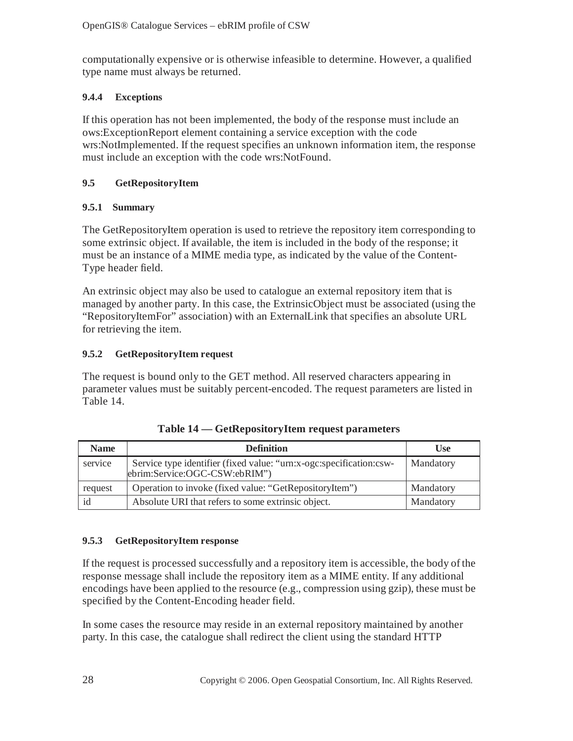computationally expensive or is otherwise infeasible to determine. However, a qualified type name must always be returned.

## **9.4.4 Exceptions**

If this operation has not been implemented, the body of the response must include an ows:ExceptionReport element containing a service exception with the code wrs:NotImplemented. If the request specifies an unknown information item, the response must include an exception with the code wrs:NotFound.

## **9.5 GetRepositoryItem**

## **9.5.1 Summary**

The GetRepositoryItem operation is used to retrieve the repository item corresponding to some extrinsic object. If available, the item is included in the body of the response; it must be an instance of a MIME media type, as indicated by the value of the Content-Type header field.

An extrinsic object may also be used to catalogue an external repository item that is managed by another party. In this case, the ExtrinsicObject must be associated (using the "RepositoryItemFor" association) with an ExternalLink that specifies an absolute URL for retrieving the item.

## **9.5.2 GetRepositoryItem request**

The request is bound only to the GET method. All reserved characters appearing in parameter values must be suitably percent-encoded. The request parameters are listed in Table 14.

| <b>Name</b> | <b>Definition</b>                                                                                    | <b>Use</b> |
|-------------|------------------------------------------------------------------------------------------------------|------------|
| service     | Service type identifier (fixed value: "urn:x-ogc:specification:csw-<br>ebrim:Service:OGC-CSW:ebRIM") | Mandatory  |
| request     | Operation to invoke (fixed value: "GetRepositoryItem")                                               | Mandatory  |
|             | Absolute URI that refers to some extrinsic object.                                                   | Mandatory  |

| Table 14 – GetRepositoryItem request parameters |  |
|-------------------------------------------------|--|
|-------------------------------------------------|--|

#### **9.5.3 GetRepositoryItem response**

If the request is processed successfully and a repository item is accessible, the body of the response message shall include the repository item as a MIME entity. If any additional encodings have been applied to the resource (e.g., compression using gzip), these must be specified by the Content-Encoding header field.

In some cases the resource may reside in an external repository maintained by another party. In this case, the catalogue shall redirect the client using the standard HTTP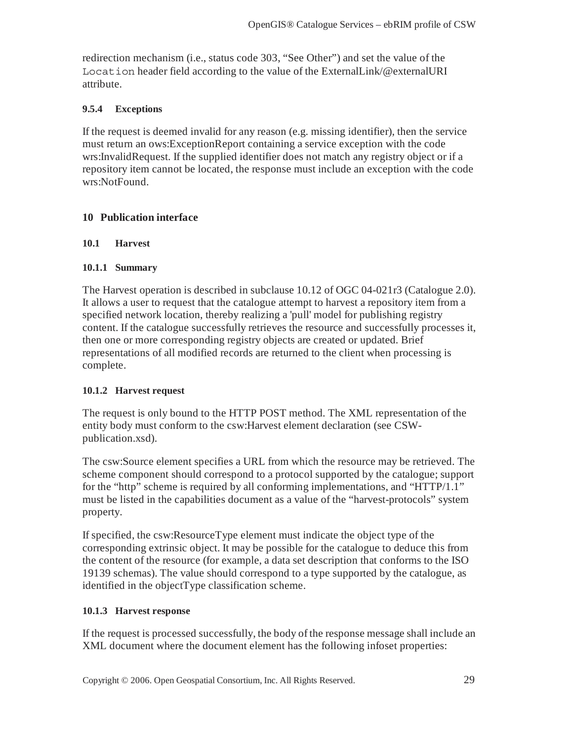redirection mechanism (i.e., status code 303, "See Other") and set the value of the Location header field according to the value of the ExternalLink/@externalURI attribute.

## **9.5.4 Exceptions**

If the request is deemed invalid for any reason (e.g. missing identifier), then the service must return an ows:ExceptionReport containing a service exception with the code wrs:InvalidRequest. If the supplied identifier does not match any registry object or if a repository item cannot be located, the response must include an exception with the code wrs:NotFound.

## **10 Publication interface**

#### **10.1 Harvest**

#### **10.1.1 Summary**

The Harvest operation is described in subclause 10.12 of OGC 04-021r3 (Catalogue 2.0). It allows a user to request that the catalogue attempt to harvest a repository item from a specified network location, thereby realizing a 'pull' model for publishing registry content. If the catalogue successfully retrieves the resource and successfully processes it, then one or more corresponding registry objects are created or updated. Brief representations of all modified records are returned to the client when processing is complete.

#### **10.1.2 Harvest request**

The request is only bound to the HTTP POST method. The XML representation of the entity body must conform to the csw:Harvest element declaration (see CSWpublication.xsd).

The csw:Source element specifies a URL from which the resource may be retrieved. The scheme component should correspond to a protocol supported by the catalogue; support for the "http" scheme is required by all conforming implementations, and "HTTP/1.1" must be listed in the capabilities document as a value of the "harvest-protocols" system property.

If specified, the csw:ResourceType element must indicate the object type of the corresponding extrinsic object. It may be possible for the catalogue to deduce this from the content of the resource (for example, a data set description that conforms to the ISO 19139 schemas). The value should correspond to a type supported by the catalogue, as identified in the objectType classification scheme.

#### **10.1.3 Harvest response**

If the request is processed successfully, the body of the response message shall include an XML document where the document element has the following infoset properties: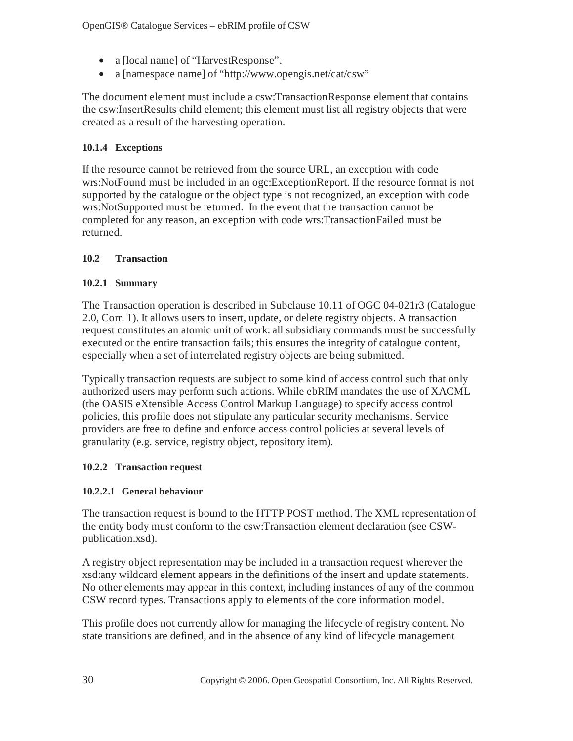- a [local name] of "HarvestResponse".
- a [namespace name] of "http://www.opengis.net/cat/csw"

The document element must include a csw:TransactionResponse element that contains the csw:InsertResults child element; this element must list all registry objects that were created as a result of the harvesting operation.

## **10.1.4 Exceptions**

If the resource cannot be retrieved from the source URL, an exception with code wrs:NotFound must be included in an ogc:ExceptionReport. If the resource format is not supported by the catalogue or the object type is not recognized, an exception with code wrs:NotSupported must be returned. In the event that the transaction cannot be completed for any reason, an exception with code wrs:TransactionFailed must be returned.

## **10.2 Transaction**

## **10.2.1 Summary**

The Transaction operation is described in Subclause 10.11 of OGC 04-021r3 (Catalogue 2.0, Corr. 1). It allows users to insert, update, or delete registry objects. A transaction request constitutes an atomic unit of work: all subsidiary commands must be successfully executed or the entire transaction fails; this ensures the integrity of catalogue content, especially when a set of interrelated registry objects are being submitted.

Typically transaction requests are subject to some kind of access control such that only authorized users may perform such actions. While ebRIM mandates the use of XACML (the OASIS eXtensible Access Control Markup Language) to specify access control policies, this profile does not stipulate any particular security mechanisms. Service providers are free to define and enforce access control policies at several levels of granularity (e.g. service, registry object, repository item).

## **10.2.2 Transaction request**

## **10.2.2.1 General behaviour**

The transaction request is bound to the HTTP POST method. The XML representation of the entity body must conform to the csw:Transaction element declaration (see CSWpublication.xsd).

A registry object representation may be included in a transaction request wherever the xsd:any wildcard element appears in the definitions of the insert and update statements. No other elements may appear in this context, including instances of any of the common CSW record types. Transactions apply to elements of the core information model.

This profile does not currently allow for managing the lifecycle of registry content. No state transitions are defined, and in the absence of any kind of lifecycle management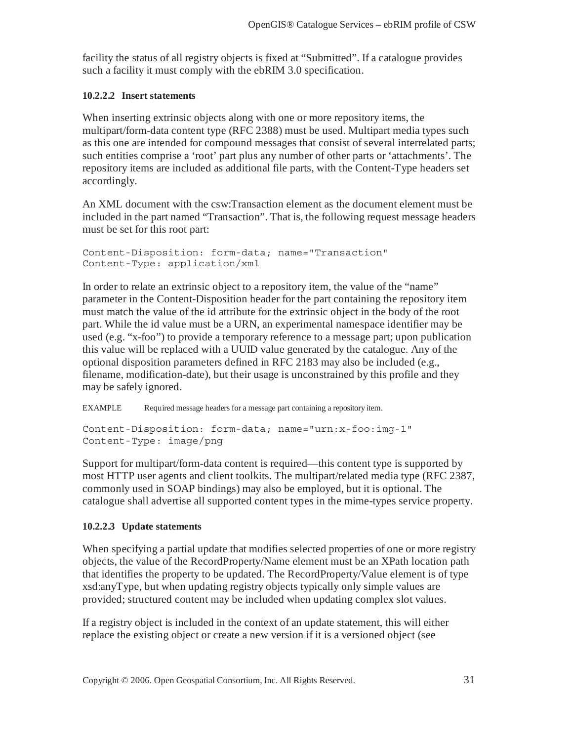facility the status of all registry objects is fixed at "Submitted". If a catalogue provides such a facility it must comply with the ebRIM 3.0 specification.

#### **10.2.2.2 Insert statements**

When inserting extrinsic objects along with one or more repository items, the multipart/form-data content type (RFC 2388) must be used. Multipart media types such as this one are intended for compound messages that consist of several interrelated parts; such entities comprise a 'root' part plus any number of other parts or 'attachments'. The repository items are included as additional file parts, with the Content-Type headers set accordingly.

An XML document with the csw:Transaction element as the document element must be included in the part named "Transaction". That is, the following request message headers must be set for this root part:

```
Content-Disposition: form-data; name="Transaction" 
Content-Type: application/xml
```
In order to relate an extrinsic object to a repository item, the value of the "name" parameter in the Content-Disposition header for the part containing the repository item must match the value of the id attribute for the extrinsic object in the body of the root part. While the id value must be a URN, an experimental namespace identifier may be used (e.g. "x-foo") to provide a temporary reference to a message part; upon publication this value will be replaced with a UUID value generated by the catalogue. Any of the optional disposition parameters defined in RFC 2183 may also be included (e.g., filename, modification-date), but their usage is unconstrained by this profile and they may be safely ignored.

EXAMPLE Required message headers for a message part containing a repository item.

```
Content-Disposition: form-data; name="urn:x-foo:img-1" 
Content-Type: image/png
```
Support for multipart/form-data content is required—this content type is supported by most HTTP user agents and client toolkits. The multipart/related media type (RFC 2387, commonly used in SOAP bindings) may also be employed, but it is optional. The catalogue shall advertise all supported content types in the mime-types service property.

#### **10.2.2.3 Update statements**

When specifying a partial update that modifies selected properties of one or more registry objects, the value of the RecordProperty/Name element must be an XPath location path that identifies the property to be updated. The RecordProperty/Value element is of type xsd:anyType, but when updating registry objects typically only simple values are provided; structured content may be included when updating complex slot values.

If a registry object is included in the context of an update statement, this will either replace the existing object or create a new version if it is a versioned object (see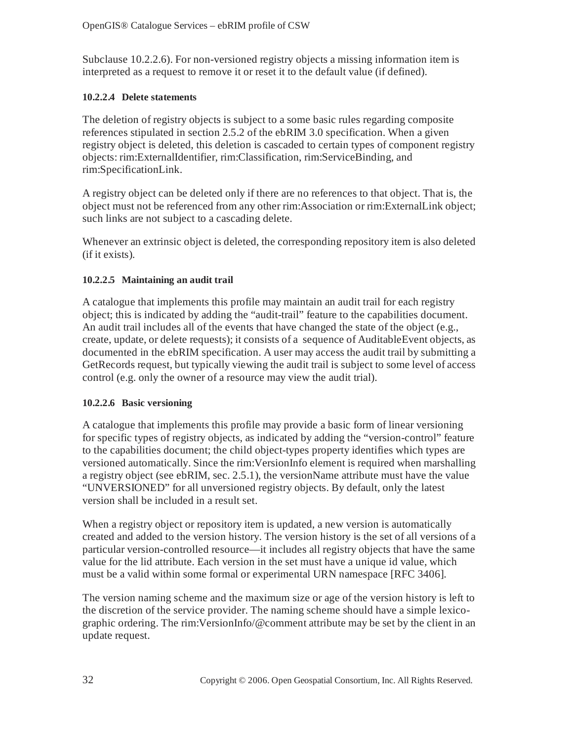Subclause 10.2.2.6). For non-versioned registry objects a missing information item is interpreted as a request to remove it or reset it to the default value (if defined).

## **10.2.2.4 Delete statements**

The deletion of registry objects is subject to a some basic rules regarding composite references stipulated in section 2.5.2 of the ebRIM 3.0 specification. When a given registry object is deleted, this deletion is cascaded to certain types of component registry objects: rim:ExternalIdentifier, rim:Classification, rim:ServiceBinding, and rim:SpecificationLink.

A registry object can be deleted only if there are no references to that object. That is, the object must not be referenced from any other rim:Association or rim:ExternalLink object; such links are not subject to a cascading delete.

Whenever an extrinsic object is deleted, the corresponding repository item is also deleted (if it exists).

## **10.2.2.5 Maintaining an audit trail**

A catalogue that implements this profile may maintain an audit trail for each registry object; this is indicated by adding the "audit-trail" feature to the capabilities document. An audit trail includes all of the events that have changed the state of the object (e.g., create, update, or delete requests); it consists of a sequence of AuditableEvent objects, as documented in the ebRIM specification. A user may access the audit trail by submitting a GetRecords request, but typically viewing the audit trail is subject to some level of access control (e.g. only the owner of a resource may view the audit trial).

## **10.2.2.6 Basic versioning**

A catalogue that implements this profile may provide a basic form of linear versioning for specific types of registry objects, as indicated by adding the "version-control" feature to the capabilities document; the child object-types property identifies which types are versioned automatically. Since the rim:VersionInfo element is required when marshalling a registry object (see ebRIM, sec. 2.5.1), the versionName attribute must have the value "UNVERSIONED" for all unversioned registry objects. By default, only the latest version shall be included in a result set.

When a registry object or repository item is updated, a new version is automatically created and added to the version history. The version history is the set of all versions of a particular version-controlled resource—it includes all registry objects that have the same value for the lid attribute. Each version in the set must have a unique id value, which must be a valid within some formal or experimental URN namespace [RFC 3406].

The version naming scheme and the maximum size or age of the version history is left to the discretion of the service provider. The naming scheme should have a simple lexicographic ordering. The rim:VersionInfo/@comment attribute may be set by the client in an update request.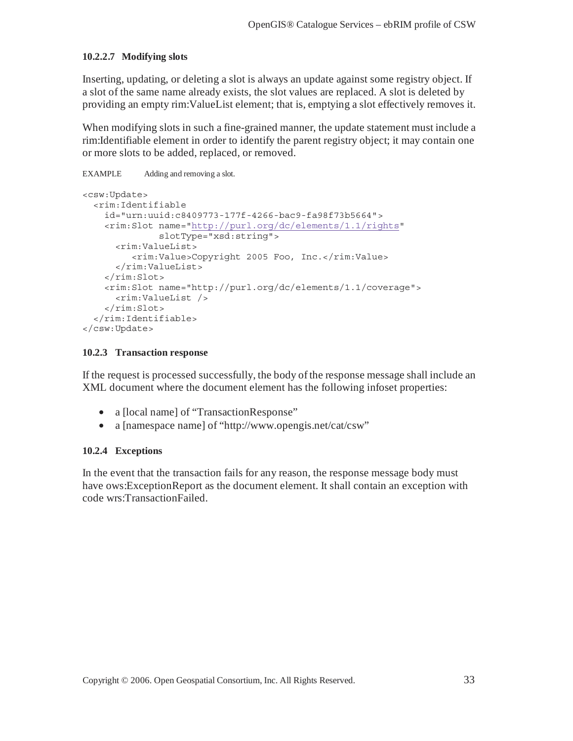#### **10.2.2.7 Modifying slots**

Inserting, updating, or deleting a slot is always an update against some registry object. If a slot of the same name already exists, the slot values are replaced. A slot is deleted by providing an empty rim:ValueList element; that is, emptying a slot effectively removes it.

When modifying slots in such a fine-grained manner, the update statement must include a rim:Identifiable element in order to identify the parent registry object; it may contain one or more slots to be added, replaced, or removed.

```
EXAMPLE Adding and removing a slot. 
<csw:Update> 
   <rim:Identifiable 
     id="urn:uuid:c8409773-177f-4266-bac9-fa98f73b5664"> 
     <rim:Slot name="http://purl.org/dc/elements/1.1/rights" 
                slotType="xsd:string"> 
       <rim:ValueList> 
          <rim:Value>Copyright 2005 Foo, Inc.</rim:Value> 
       </rim:ValueList> 
    \langlerim:Slot>
     <rim:Slot name="http://purl.org/dc/elements/1.1/coverage"> 
       <rim:ValueList /> 
    \langlerim:Slot>
   </rim:Identifiable> 
</csw:Update>
```
#### **10.2.3 Transaction response**

If the request is processed successfully, the body of the response message shall include an XML document where the document element has the following infoset properties:

- a [local name] of "TransactionResponse"
- a [namespace name] of "http://www.opengis.net/cat/csw"

#### **10.2.4 Exceptions**

In the event that the transaction fails for any reason, the response message body must have ows:ExceptionReport as the document element. It shall contain an exception with code wrs:TransactionFailed.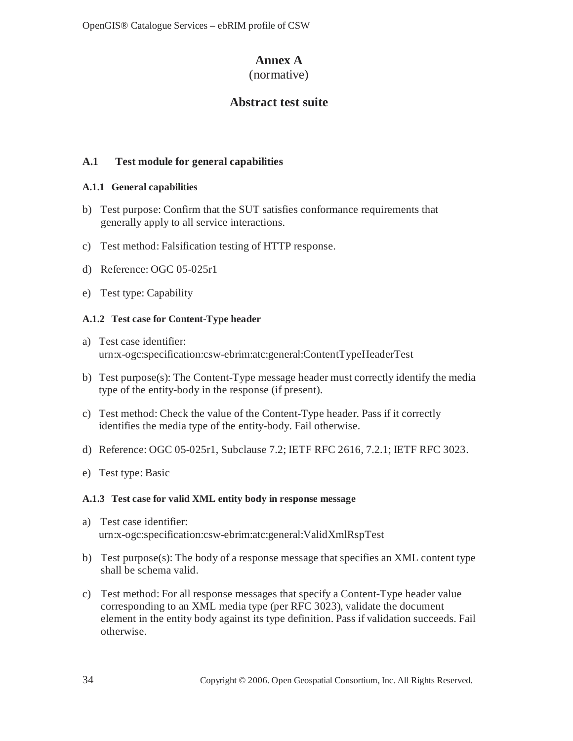# **Annex A**

## (normative)

# **Abstract test suite**

## **A.1 Test module for general capabilities**

## **A.1.1 General capabilities**

- b) Test purpose: Confirm that the SUT satisfies conformance requirements that generally apply to all service interactions.
- c) Test method: Falsification testing of HTTP response.
- d) Reference: OGC 05-025r1
- e) Test type: Capability

## **A.1.2 Test case for Content-Type header**

- a) Test case identifier: urn:x-ogc:specification:csw-ebrim:atc:general:ContentTypeHeaderTest
- b) Test purpose(s): The Content-Type message header must correctly identify the media type of the entity-body in the response (if present).
- c) Test method: Check the value of the Content-Type header. Pass if it correctly identifies the media type of the entity-body. Fail otherwise.
- d) Reference: OGC 05-025r1, Subclause 7.2; IETF RFC 2616, 7.2.1; IETF RFC 3023.
- e) Test type: Basic

## **A.1.3 Test case for valid XML entity body in response message**

- a) Test case identifier: urn:x-ogc:specification:csw-ebrim:atc:general:ValidXmlRspTest
- b) Test purpose(s): The body of a response message that specifies an XML content type shall be schema valid.
- c) Test method: For all response messages that specify a Content-Type header value corresponding to an XML media type (per RFC 3023), validate the document element in the entity body against its type definition. Pass if validation succeeds. Fail otherwise.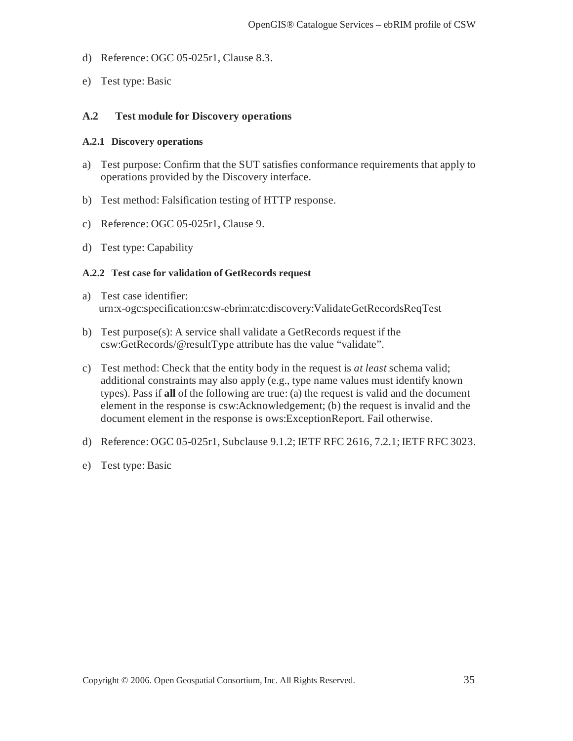- d) Reference: OGC 05-025r1, Clause 8.3.
- e) Test type: Basic

#### **A.2 Test module for Discovery operations**

#### **A.2.1 Discovery operations**

- a) Test purpose: Confirm that the SUT satisfies conformance requirements that apply to operations provided by the Discovery interface.
- b) Test method: Falsification testing of HTTP response.
- c) Reference: OGC 05-025r1, Clause 9.
- d) Test type: Capability

#### **A.2.2 Test case for validation of GetRecords request**

- a) Test case identifier: urn:x-ogc:specification:csw-ebrim:atc:discovery:ValidateGetRecordsReqTest
- b) Test purpose(s): A service shall validate a GetRecords request if the csw:GetRecords/@resultType attribute has the value "validate".
- c) Test method: Check that the entity body in the request is *at least* schema valid; additional constraints may also apply (e.g., type name values must identify known types). Pass if **all** of the following are true: (a) the request is valid and the document element in the response is csw:Acknowledgement; (b) the request is invalid and the document element in the response is ows:ExceptionReport. Fail otherwise.
- d) Reference: OGC 05-025r1, Subclause 9.1.2; IETF RFC 2616, 7.2.1; IETF RFC 3023.
- e) Test type: Basic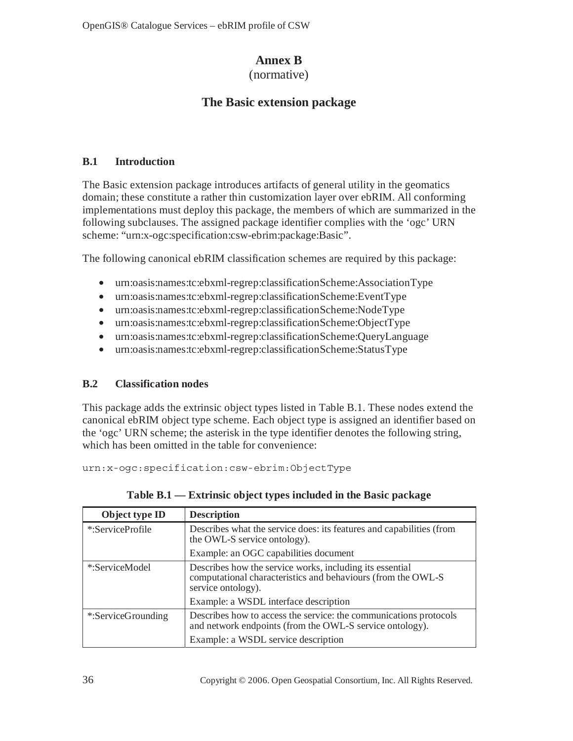# **Annex B**

(normative)

# **The Basic extension package**

## **B.1 Introduction**

The Basic extension package introduces artifacts of general utility in the geomatics domain; these constitute a rather thin customization layer over ebRIM. All conforming implementations must deploy this package, the members of which are summarized in the following subclauses. The assigned package identifier complies with the 'ogc' URN scheme: "urn:x-ogc:specification:csw-ebrim:package:Basic".

The following canonical ebRIM classification schemes are required by this package:

- urn:oasis:names:tc:ebxml-regrep:classificationScheme:AssociationType
- urn:oasis:names:tc:ebxml-regrep:classificationScheme:EventType
- urn:oasis:names:tc:ebxml-regrep:classificationScheme:NodeType
- urn:oasis:names:tc:ebxml-regrep:classificationScheme:ObjectType
- urn:oasis:names:tc:ebxml-regrep:classificationScheme:QueryLanguage
- urn:oasis:names:tc:ebxml-regrep:classificationScheme:StatusType

# **B.2 Classification nodes**

This package adds the extrinsic object types listed in Table B.1. These nodes extend the canonical ebRIM object type scheme. Each object type is assigned an identifier based on the 'ogc' URN scheme; the asterisk in the type identifier denotes the following string, which has been omitted in the table for convenience:

urn:x-ogc:specification:csw-ebrim:ObjectType

| Object type ID     | <b>Description</b>                                                                                                                             |
|--------------------|------------------------------------------------------------------------------------------------------------------------------------------------|
| *:ServiceProfile   | Describes what the service does: its features and capabilities (from<br>the OWL-S service ontology).                                           |
|                    | Example: an OGC capabilities document                                                                                                          |
| *:ServiceModel     | Describes how the service works, including its essential<br>computational characteristics and behaviours (from the OWL-S<br>service ontology). |
|                    | Example: a WSDL interface description                                                                                                          |
| *:ServiceGrounding | Describes how to access the service: the communications protocols<br>and network endpoints (from the OWL-S service ontology).                  |
|                    | Example: a WSDL service description                                                                                                            |

**Table B.1 — Extrinsic object types included in the Basic package**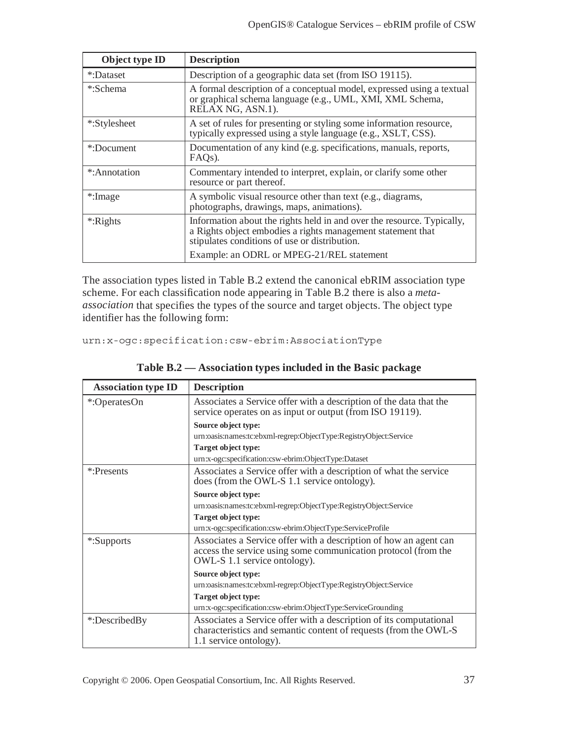| Object type ID | <b>Description</b>                                                                                                                                                                     |  |
|----------------|----------------------------------------------------------------------------------------------------------------------------------------------------------------------------------------|--|
| *:Dataset      | Description of a geographic data set (from ISO 19115).                                                                                                                                 |  |
| *:Schema       | A formal description of a conceptual model, expressed using a textual<br>or graphical schema language (e.g., UML, XMI, XML Schema,<br>RELAX NG, ASN.1).                                |  |
| *:Stylesheet   | A set of rules for presenting or styling some information resource,<br>typically expressed using a style language (e.g., XSLT, CSS).                                                   |  |
| *:Document     | Documentation of any kind (e.g. specifications, manuals, reports,<br>FAQ <sub>s</sub> ).                                                                                               |  |
| *:Annotation   | Commentary intended to interpret, explain, or clarify some other<br>resource or part thereof.                                                                                          |  |
| *:Image        | A symbolic visual resource other than text (e.g., diagrams,<br>photographs, drawings, maps, animations).                                                                               |  |
| *:Rights       | Information about the rights held in and over the resource. Typically,<br>a Rights object embodies a rights management statement that<br>stipulates conditions of use or distribution. |  |
|                | Example: an ODRL or MPEG-21/REL statement                                                                                                                                              |  |

The association types listed in Table B.2 extend the canonical ebRIM association type scheme. For each classification node appearing in Table B.2 there is also a *metaassociation* that specifies the types of the source and target objects. The object type identifier has the following form:

urn:x-ogc:specification:csw-ebrim:AssociationType

| <b>Association type ID</b> | <b>Description</b>                                                                                                                                                  |  |
|----------------------------|---------------------------------------------------------------------------------------------------------------------------------------------------------------------|--|
| *:OperatesOn               | Associates a Service offer with a description of the data that the<br>service operates on as input or output (from ISO 19119).                                      |  |
|                            | Source object type:                                                                                                                                                 |  |
|                            | urn:oasis:names:tc:ebxml-regrep:ObjectType:RegistryObject:Service                                                                                                   |  |
|                            | Target object type:                                                                                                                                                 |  |
|                            | urn:x-ogc:specification:csw-ebrim:ObjectType:Dataset                                                                                                                |  |
| *:Presents                 | Associates a Service offer with a description of what the service<br>does (from the OWL-S 1.1 service ontology).                                                    |  |
|                            | Source object type:                                                                                                                                                 |  |
|                            | urn:oasis:names:tc:ebxml-regrep:ObjectType:RegistryObject:Service                                                                                                   |  |
|                            | Target object type:                                                                                                                                                 |  |
|                            | urn:x-ogc:specification:csw-ebrim:ObjectType:ServiceProfile                                                                                                         |  |
| *:Supports                 | Associates a Service offer with a description of how an agent can<br>access the service using some communication protocol (from the<br>OWL-S 1.1 service ontology). |  |
|                            | Source object type:                                                                                                                                                 |  |
|                            | urn:oasis:names:tc:ebxml-regrep:ObjectType:RegistryObject:Service                                                                                                   |  |
|                            | Target object type:                                                                                                                                                 |  |
|                            | urn:x-ogc:specification:csw-ebrim:ObjectType:ServiceGrounding                                                                                                       |  |
| *:DescribedBy              | Associates a Service offer with a description of its computational<br>characteristics and semantic content of requests (from the OWL-S<br>1.1 service ontology).    |  |

**Table B.2 — Association types included in the Basic package**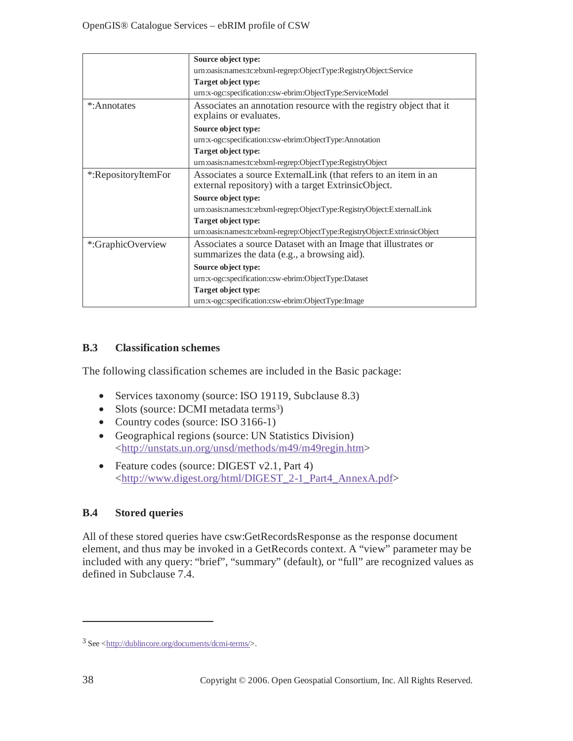|                     | Source object type:                                                                                                    |  |
|---------------------|------------------------------------------------------------------------------------------------------------------------|--|
|                     | urn:oasis:names:tc:ebxml-regrep:ObjectType:RegistryObject:Service                                                      |  |
|                     | Target object type:                                                                                                    |  |
|                     | urn:x-ogc:specification:csw-ebrim:ObjectType:ServiceModel                                                              |  |
| *:Annotates         | Associates an annotation resource with the registry object that it<br>explains or evaluates.                           |  |
|                     | Source object type:                                                                                                    |  |
|                     | urn:x-ogc:specification:csw-ebrim:ObjectType:Annotation                                                                |  |
|                     | Target object type:                                                                                                    |  |
|                     | urn:oasis:names:tc:ebxml-regrep:ObjectType:RegistryObject                                                              |  |
| *:RepositoryItemFor | Associates a source External Link (that refers to an item in an<br>external repository) with a target ExtrinsicObject. |  |
|                     | Source object type:                                                                                                    |  |
|                     | urn:oasis:names:tc:ebxml-regrep:ObjectType:RegistryObject:ExternalLink                                                 |  |
|                     | Target object type:                                                                                                    |  |
|                     | urn:oasis:names:tc:ebxml-regrep:ObjectType:RegistryObject:ExtrinsicObject                                              |  |
| *:GraphicOverview   | Associates a source Dataset with an Image that illustrates or<br>summarizes the data (e.g., a browsing aid).           |  |
|                     |                                                                                                                        |  |
|                     | Source object type:                                                                                                    |  |
|                     | urn:x-ogc:specification:csw-ebrim:ObjectType:Dataset                                                                   |  |
|                     | Target object type:                                                                                                    |  |
|                     | urn:x-ogc:specification:csw-ebrim:ObjectType:Image                                                                     |  |

## **B.3 Classification schemes**

The following classification schemes are included in the Basic package:

- Services taxonomy (source: ISO 19119, Subclause 8.3)
- Slots (source: DCMI metadata terms<sup>3</sup>)
- Country codes (source: ISO 3166-1)
- Geographical regions (source: UN Statistics Division) <http://unstats.un.org/unsd/methods/m49/m49regin.htm>
- Feature codes (source: DIGEST v2.1, Part 4) <http://www.digest.org/html/DIGEST\_2-1\_Part4\_AnnexA.pdf>

# **B.4 Stored queries**

All of these stored queries have csw:GetRecordsResponse as the response document element, and thus may be invoked in a GetRecords context. A "view" parameter may be included with any query: "brief", "summary" (default), or "full" are recognized values as defined in Subclause 7.4.

 $\overline{a}$ 

 $3$  See  $\langle \frac{http://dublincore.org/documents/dcmi-terms/}{$ .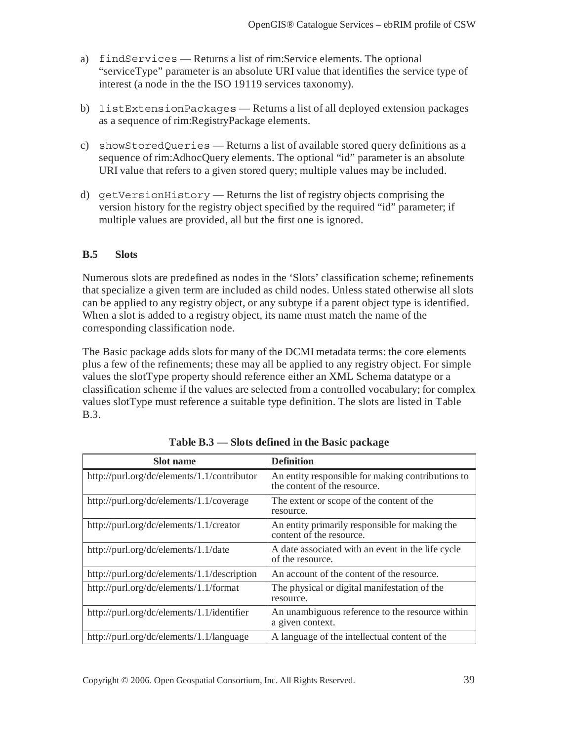- a) findServices Returns a list of rim:Service elements. The optional "serviceType" parameter is an absolute URI value that identifies the service type of interest (a node in the the ISO 19119 services taxonomy).
- b) listExtensionPackages Returns a list of all deployed extension packages as a sequence of rim:RegistryPackage elements.
- c) showStoredQueries Returns a list of available stored query definitions as a sequence of rim:AdhocQuery elements. The optional "id" parameter is an absolute URI value that refers to a given stored query; multiple values may be included.
- d) getVersionHistory Returns the list of registry objects comprising the version history for the registry object specified by the required "id" parameter; if multiple values are provided, all but the first one is ignored.

## **B.5 Slots**

Numerous slots are predefined as nodes in the 'Slots' classification scheme; refinements that specialize a given term are included as child nodes. Unless stated otherwise all slots can be applied to any registry object, or any subtype if a parent object type is identified. When a slot is added to a registry object, its name must match the name of the corresponding classification node.

The Basic package adds slots for many of the DCMI metadata terms: the core elements plus a few of the refinements; these may all be applied to any registry object. For simple values the slotType property should reference either an XML Schema datatype or a classification scheme if the values are selected from a controlled vocabulary; for complex values slotType must reference a suitable type definition. The slots are listed in Table B.3.

| <b>Slot</b> name                            | <b>Definition</b>                                                                 |
|---------------------------------------------|-----------------------------------------------------------------------------------|
| http://purl.org/dc/elements/1.1/contributor | An entity responsible for making contributions to<br>the content of the resource. |
| http://purl.org/dc/elements/1.1/coverage    | The extent or scope of the content of the<br>resource.                            |
| http://purl.org/dc/elements/1.1/creator     | An entity primarily responsible for making the<br>content of the resource.        |
| http://purl.org/dc/elements/1.1/date        | A date associated with an event in the life cycle<br>of the resource.             |
| http://purl.org/dc/elements/1.1/description | An account of the content of the resource.                                        |
| http://purl.org/dc/elements/1.1/format      | The physical or digital manifestation of the<br>resource.                         |
| http://purl.org/dc/elements/1.1/identifier  | An unambiguous reference to the resource within<br>a given context.               |
| http://purl.org/dc/elements/1.1/language    | A language of the intellectual content of the                                     |
|                                             |                                                                                   |

**Table B.3 — Slots defined in the Basic package**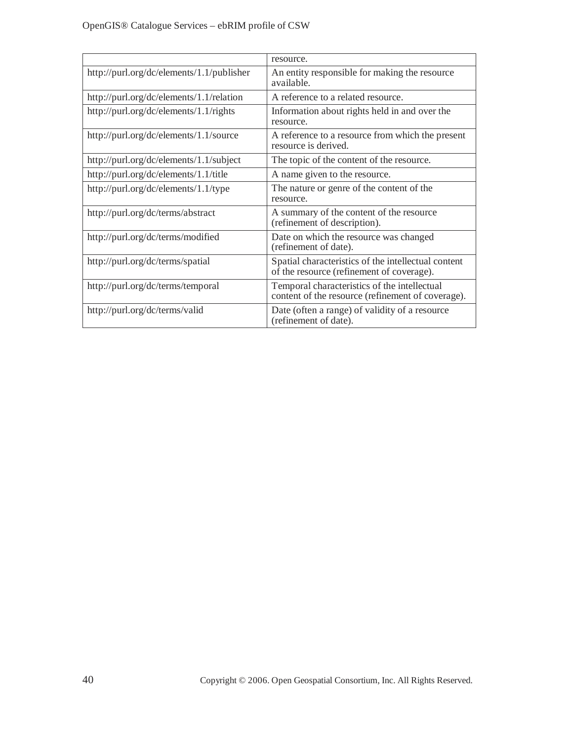|                                           | resource.                                                                                         |
|-------------------------------------------|---------------------------------------------------------------------------------------------------|
| http://purl.org/dc/elements/1.1/publisher | An entity responsible for making the resource<br>available.                                       |
| http://purl.org/dc/elements/1.1/relation  | A reference to a related resource.                                                                |
| http://purl.org/dc/elements/1.1/rights    | Information about rights held in and over the<br>resource.                                        |
| http://purl.org/dc/elements/1.1/source    | A reference to a resource from which the present<br>resource is derived.                          |
| http://purl.org/dc/elements/1.1/subject   | The topic of the content of the resource.                                                         |
| http://purl.org/dc/elements/1.1/title     | A name given to the resource.                                                                     |
| http://purl.org/dc/elements/1.1/type      | The nature or genre of the content of the<br>resource.                                            |
| http://purl.org/dc/terms/abstract         | A summary of the content of the resource<br>(refinement of description).                          |
| http://purl.org/dc/terms/modified         | Date on which the resource was changed<br>(refinement of date).                                   |
| http://purl.org/dc/terms/spatial          | Spatial characteristics of the intellectual content<br>of the resource (refinement of coverage).  |
| http://purl.org/dc/terms/temporal         | Temporal characteristics of the intellectual<br>content of the resource (refinement of coverage). |
| http://purl.org/dc/terms/valid            | Date (often a range) of validity of a resource<br>(refinement of date).                           |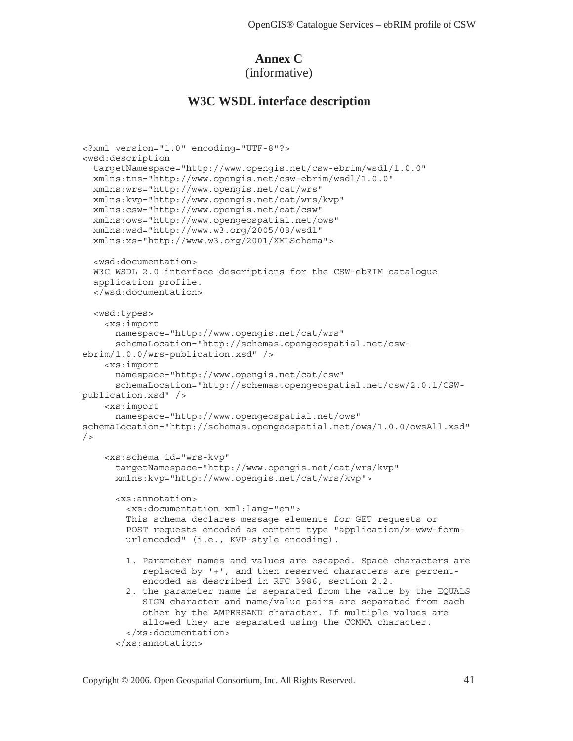## **Annex C**

(informative)

## **W3C WSDL interface description**

```
<?xml version="1.0" encoding="UTF-8"?> 
<wsd:description 
   targetNamespace="http://www.opengis.net/csw-ebrim/wsdl/1.0.0" 
  xmlns:tns="http://www.opengis.net/csw-ebrim/wsdl/1.0.0" 
  xmlns:wrs="http://www.opengis.net/cat/wrs" 
  xmlns:kvp="http://www.opengis.net/cat/wrs/kvp" 
  xmlns:csw="http://www.opengis.net/cat/csw" 
  xmlns:ows="http://www.opengeospatial.net/ows" 
  xmlns:wsd="http://www.w3.org/2005/08/wsdl" 
  xmlns:xs="http://www.w3.org/2001/XMLSchema"> 
   <wsd:documentation> 
  W3C WSDL 2.0 interface descriptions for the CSW-ebRIM catalogue 
   application profile. 
   </wsd:documentation> 
   <wsd:types> 
     <xs:import 
       namespace="http://www.opengis.net/cat/wrs" 
       schemaLocation="http://schemas.opengeospatial.net/csw-
ebrim/1.0.0/wrs-publication.xsd" /> 
     <xs:import 
       namespace="http://www.opengis.net/cat/csw" 
       schemaLocation="http://schemas.opengeospatial.net/csw/2.0.1/CSW-
publication.xsd" /> 
     <xs:import 
       namespace="http://www.opengeospatial.net/ows" 
schemaLocation="http://schemas.opengeospatial.net/ows/1.0.0/owsAll.xsd" 
/ <xs:schema id="wrs-kvp" 
       targetNamespace="http://www.opengis.net/cat/wrs/kvp" 
       xmlns:kvp="http://www.opengis.net/cat/wrs/kvp"> 
       <xs:annotation> 
         <xs:documentation xml:lang="en"> 
         This schema declares message elements for GET requests or 
         POST requests encoded as content type "application/x-www-form- 
         urlencoded" (i.e., KVP-style encoding). 
         1. Parameter names and values are escaped. Space characters are 
            replaced by '+', and then reserved characters are percent- 
            encoded as described in RFC 3986, section 2.2. 
         2. the parameter name is separated from the value by the EQUALS 
            SIGN character and name/value pairs are separated from each 
            other by the AMPERSAND character. If multiple values are 
            allowed they are separated using the COMMA character. 
         </xs:documentation> 
       </xs:annotation>
```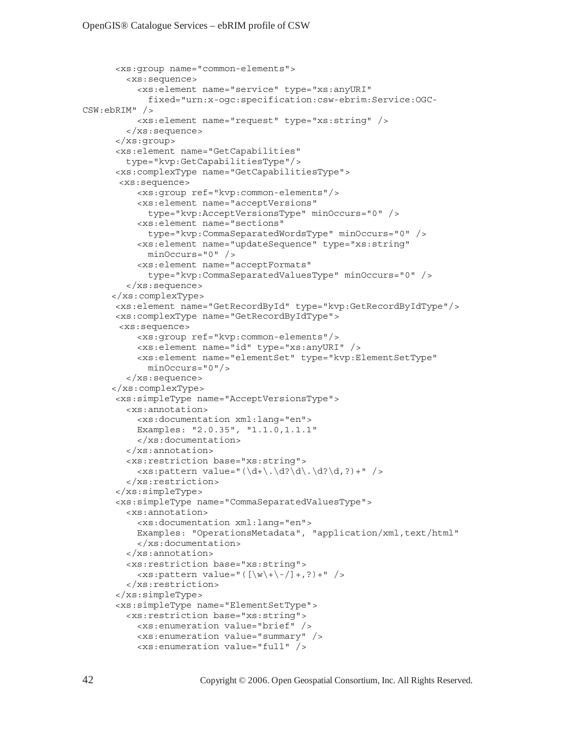```
 <xs:group name="common-elements"> 
         <xs:sequence> 
           <xs:element name="service" type="xs:anyURI" 
             fixed="urn:x-ogc:specification:csw-ebrim:Service:OGC-
CSW:ebRIM" /> 
           <xs:element name="request" type="xs:string" /> 
         </xs:sequence> 
       </xs:group> 
       <xs:element name="GetCapabilities" 
         type="kvp:GetCapabilitiesType"/> 
       <xs:complexType name="GetCapabilitiesType"> 
        <xs:sequence> 
           <xs:group ref="kvp:common-elements"/> 
           <xs:element name="acceptVersions" 
              type="kvp:AcceptVersionsType" minOccurs="0" /> 
           <xs:element name="sections" 
             type="kvp:CommaSeparatedWordsType" minOccurs="0" /> 
           <xs:element name="updateSequence" type="xs:string" 
             minOccurs="0" /> 
           <xs:element name="acceptFormats" 
              type="kvp:CommaSeparatedValuesType" minOccurs="0" /> 
         </xs:sequence> 
      </xs:complexType> 
       <xs:element name="GetRecordById" type="kvp:GetRecordByIdType"/> 
       <xs:complexType name="GetRecordByIdType"> 
        <xs:sequence> 
           <xs:group ref="kvp:common-elements"/> 
           <xs:element name="id" type="xs:anyURI" /> 
           <xs:element name="elementSet" type="kvp:ElementSetType" 
             minOccurs="0"/> 
         </xs:sequence> 
      </xs:complexType> 
       <xs:simpleType name="AcceptVersionsType"> 
         <xs:annotation> 
           <xs:documentation xml:lang="en"> 
           Examples: "2.0.35", "1.1.0,1.1.1" 
           </xs:documentation> 
         </xs:annotation> 
         <xs:restriction base="xs:string"> 
          \langle x, s: pattern value="(\dagger) d+\.\d?\d\.\d?\d,?)+" />
         </xs:restriction> 
       </xs:simpleType> 
       <xs:simpleType name="CommaSeparatedValuesType"> 
         <xs:annotation> 
           <xs:documentation xml:lang="en"> 
          Examples: "OperationsMetadata", "application/xml,text/html"
           </xs:documentation> 
         </xs:annotation> 
         <xs:restriction base="xs:string"> 
          \langle xs:pattern value="([\w\+\{-/]+,?)+"/>
         </xs:restriction> 
       </xs:simpleType> 
       <xs:simpleType name="ElementSetType"> 
         <xs:restriction base="xs:string"> 
           <xs:enumeration value="brief" /> 
           <xs:enumeration value="summary" /> 
           <xs:enumeration value="full" />
```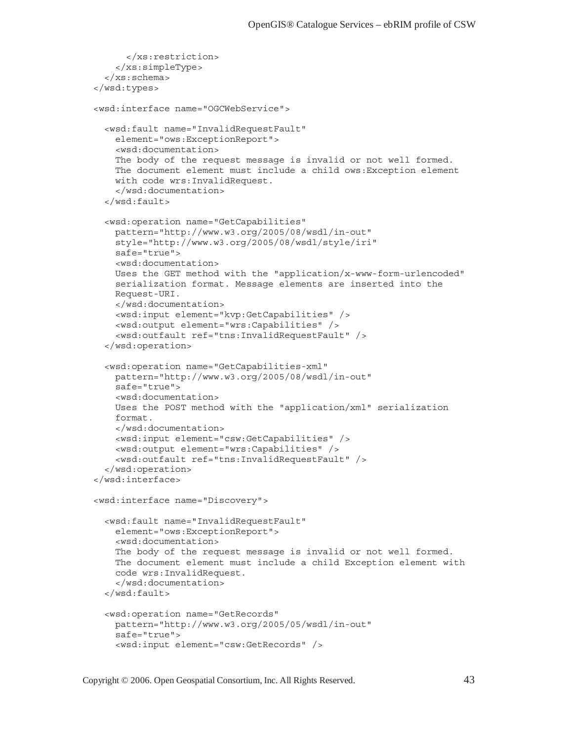```
 </xs:restriction> 
     </xs:simpleType> 
   </xs:schema> 
 </wsd:types> 
 <wsd:interface name="OGCWebService"> 
   <wsd:fault name="InvalidRequestFault" 
     element="ows:ExceptionReport"> 
     <wsd:documentation> 
     The body of the request message is invalid or not well formed. 
     The document element must include a child ows:Exception element 
     with code wrs:InvalidRequest. 
     </wsd:documentation> 
   </wsd:fault> 
   <wsd:operation name="GetCapabilities" 
     pattern="http://www.w3.org/2005/08/wsdl/in-out" 
     style="http://www.w3.org/2005/08/wsdl/style/iri" 
     safe="true"> 
     <wsd:documentation> 
     Uses the GET method with the "application/x-www-form-urlencoded" 
     serialization format. Message elements are inserted into the 
     Request-URI. 
     </wsd:documentation> 
     <wsd:input element="kvp:GetCapabilities" /> 
     <wsd:output element="wrs:Capabilities" /> 
     <wsd:outfault ref="tns:InvalidRequestFault" /> 
   </wsd:operation> 
   <wsd:operation name="GetCapabilities-xml" 
     pattern="http://www.w3.org/2005/08/wsdl/in-out" 
     safe="true"> 
     <wsd:documentation> 
     Uses the POST method with the "application/xml" serialization 
     format. 
     </wsd:documentation> 
     <wsd:input element="csw:GetCapabilities" /> 
     <wsd:output element="wrs:Capabilities" /> 
     <wsd:outfault ref="tns:InvalidRequestFault" /> 
   </wsd:operation> 
 </wsd:interface> 
 <wsd:interface name="Discovery"> 
   <wsd:fault name="InvalidRequestFault" 
     element="ows:ExceptionReport"> 
     <wsd:documentation> 
     The body of the request message is invalid or not well formed. 
     The document element must include a child Exception element with 
     code wrs:InvalidRequest. 
     </wsd:documentation> 
   </wsd:fault> 
   <wsd:operation name="GetRecords" 
     pattern="http://www.w3.org/2005/05/wsdl/in-out" 
     safe="true"> 
     <wsd:input element="csw:GetRecords" />
```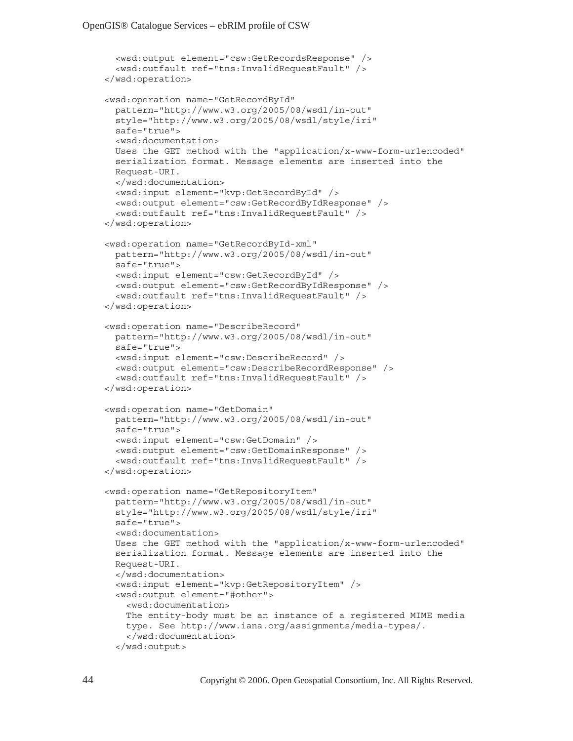```
 <wsd:output element="csw:GetRecordsResponse" /> 
   <wsd:outfault ref="tns:InvalidRequestFault" /> 
 </wsd:operation> 
 <wsd:operation name="GetRecordById" 
  pattern="http://www.w3.org/2005/08/wsdl/in-out" 
   style="http://www.w3.org/2005/08/wsdl/style/iri" 
   safe="true"> 
   <wsd:documentation> 
  Uses the GET method with the "application/x-www-form-urlencoded" 
   serialization format. Message elements are inserted into the 
  Request-URI. 
   </wsd:documentation> 
   <wsd:input element="kvp:GetRecordById" /> 
   <wsd:output element="csw:GetRecordByIdResponse" /> 
   <wsd:outfault ref="tns:InvalidRequestFault" /> 
 </wsd:operation> 
 <wsd:operation name="GetRecordById-xml" 
  pattern="http://www.w3.org/2005/08/wsdl/in-out" 
   safe="true"> 
   <wsd:input element="csw:GetRecordById" /> 
   <wsd:output element="csw:GetRecordByIdResponse" /> 
   <wsd:outfault ref="tns:InvalidRequestFault" /> 
 </wsd:operation> 
 <wsd:operation name="DescribeRecord" 
  pattern="http://www.w3.org/2005/08/wsdl/in-out" 
   safe="true"> 
   <wsd:input element="csw:DescribeRecord" /> 
   <wsd:output element="csw:DescribeRecordResponse" /> 
   <wsd:outfault ref="tns:InvalidRequestFault" /> 
 </wsd:operation> 
 <wsd:operation name="GetDomain" 
   pattern="http://www.w3.org/2005/08/wsdl/in-out" 
   safe="true"> 
   <wsd:input element="csw:GetDomain" /> 
   <wsd:output element="csw:GetDomainResponse" /> 
   <wsd:outfault ref="tns:InvalidRequestFault" /> 
 </wsd:operation> 
 <wsd:operation name="GetRepositoryItem" 
  pattern="http://www.w3.org/2005/08/wsdl/in-out" 
   style="http://www.w3.org/2005/08/wsdl/style/iri" 
   safe="true"> 
   <wsd:documentation> 
  Uses the GET method with the "application/x-www-form-urlencoded" 
   serialization format. Message elements are inserted into the 
   Request-URI. 
   </wsd:documentation> 
   <wsd:input element="kvp:GetRepositoryItem" /> 
   <wsd:output element="#other"> 
     <wsd:documentation> 
    The entity-body must be an instance of a registered MIME media 
     type. See http://www.iana.org/assignments/media-types/. 
     </wsd:documentation> 
   </wsd:output>
```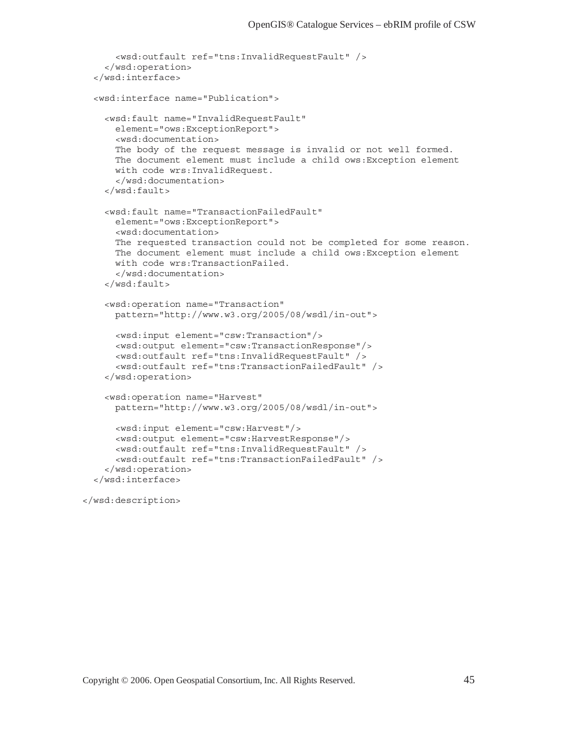```
 <wsd:outfault ref="tns:InvalidRequestFault" /> 
   </wsd:operation> 
 </wsd:interface> 
 <wsd:interface name="Publication"> 
  <wsd:fault name="InvalidRequestFault" 
    element="ows:ExceptionReport"> 
     <wsd:documentation> 
    The body of the request message is invalid or not well formed. 
    The document element must include a child ows:Exception element 
    with code wrs:InvalidRequest. 
     </wsd:documentation> 
   </wsd:fault> 
   <wsd:fault name="TransactionFailedFault" 
     element="ows:ExceptionReport"> 
     <wsd:documentation> 
    The requested transaction could not be completed for some reason. 
    The document element must include a child ows:Exception element 
    with code wrs:TransactionFailed. 
     </wsd:documentation> 
   </wsd:fault> 
   <wsd:operation name="Transaction" 
    pattern="http://www.w3.org/2005/08/wsdl/in-out"> 
     <wsd:input element="csw:Transaction"/> 
     <wsd:output element="csw:TransactionResponse"/> 
     <wsd:outfault ref="tns:InvalidRequestFault" /> 
     <wsd:outfault ref="tns:TransactionFailedFault" /> 
   </wsd:operation> 
   <wsd:operation name="Harvest" 
    pattern="http://www.w3.org/2005/08/wsdl/in-out"> 
     <wsd:input element="csw:Harvest"/> 
     <wsd:output element="csw:HarvestResponse"/> 
     <wsd:outfault ref="tns:InvalidRequestFault" /> 
     <wsd:outfault ref="tns:TransactionFailedFault" /> 
   </wsd:operation> 
 </wsd:interface>
```
</wsd:description>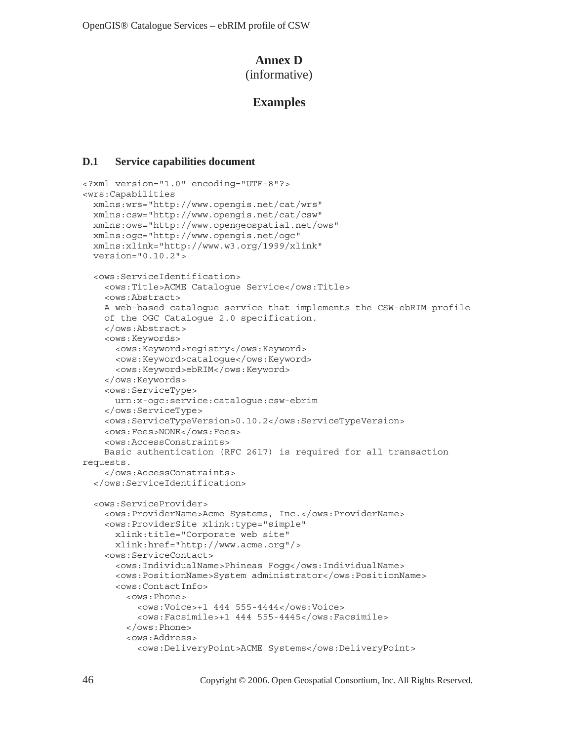## **Annex D**

(informative)

# **Examples**

#### **D.1 Service capabilities document**

```
<?xml version="1.0" encoding="UTF-8"?> 
<wrs:Capabilities 
  xmlns:wrs="http://www.opengis.net/cat/wrs" 
  xmlns:csw="http://www.opengis.net/cat/csw" 
  xmlns:ows="http://www.opengeospatial.net/ows" 
  xmlns:ogc="http://www.opengis.net/ogc" 
  xmlns:xlink="http://www.w3.org/1999/xlink" 
  version="0.10.2"> 
   <ows:ServiceIdentification> 
     <ows:Title>ACME Catalogue Service</ows:Title> 
     <ows:Abstract> 
     A web-based catalogue service that implements the CSW-ebRIM profile 
     of the OGC Catalogue 2.0 specification. 
     </ows:Abstract> 
     <ows:Keywords> 
       <ows:Keyword>registry</ows:Keyword> 
       <ows:Keyword>catalogue</ows:Keyword> 
       <ows:Keyword>ebRIM</ows:Keyword> 
     </ows:Keywords> 
     <ows:ServiceType> 
       urn:x-ogc:service:catalogue:csw-ebrim 
     </ows:ServiceType> 
     <ows:ServiceTypeVersion>0.10.2</ows:ServiceTypeVersion> 
     <ows:Fees>NONE</ows:Fees> 
     <ows:AccessConstraints> 
     Basic authentication (RFC 2617) is required for all transaction 
requests. 
     </ows:AccessConstraints> 
   </ows:ServiceIdentification> 
   <ows:ServiceProvider> 
     <ows:ProviderName>Acme Systems, Inc.</ows:ProviderName> 
     <ows:ProviderSite xlink:type="simple" 
       xlink:title="Corporate web site" 
       xlink:href="http://www.acme.org"/> 
     <ows:ServiceContact> 
       <ows:IndividualName>Phineas Fogg</ows:IndividualName> 
       <ows:PositionName>System administrator</ows:PositionName> 
       <ows:ContactInfo> 
         <ows:Phone> 
           <ows:Voice>+1 444 555-4444</ows:Voice> 
           <ows:Facsimile>+1 444 555-4445</ows:Facsimile> 
         </ows:Phone> 
         <ows:Address> 
           <ows:DeliveryPoint>ACME Systems</ows:DeliveryPoint>
```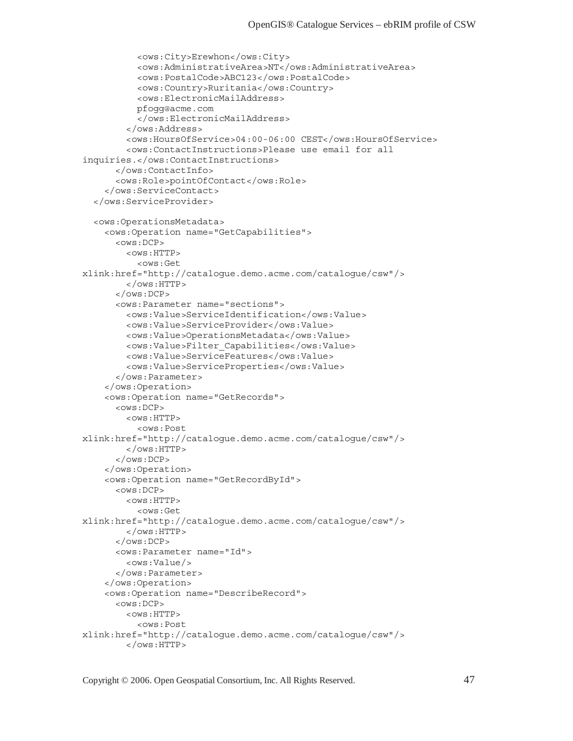```
 <ows:City>Erewhon</ows:City> 
            <ows:AdministrativeArea>NT</ows:AdministrativeArea> 
            <ows:PostalCode>ABC123</ows:PostalCode> 
            <ows:Country>Ruritania</ows:Country> 
            <ows:ElectronicMailAddress> 
           pfogg@acme.com 
            </ows:ElectronicMailAddress> 
         </ows:Address> 
         <ows:HoursOfService>04:00-06:00 CEST</ows:HoursOfService> 
         <ows:ContactInstructions>Please use email for all 
inquiries.</ows:ContactInstructions> 
       </ows:ContactInfo> 
       <ows:Role>pointOfContact</ows:Role> 
     </ows:ServiceContact> 
   </ows:ServiceProvider> 
   <ows:OperationsMetadata> 
     <ows:Operation name="GetCapabilities"> 
       <ows:DCP> 
         <ows:HTTP> 
            <ows:Get 
xlink:href="http://catalogue.demo.acme.com/catalogue/csw"/> 
        </\circws:HTTP>
      </\circws:DCP>
       <ows:Parameter name="sections"> 
         <ows:Value>ServiceIdentification</ows:Value> 
         <ows:Value>ServiceProvider</ows:Value> 
         <ows:Value>OperationsMetadata</ows:Value> 
         <ows:Value>Filter_Capabilities</ows:Value> 
         <ows:Value>ServiceFeatures</ows:Value> 
         <ows:Value>ServiceProperties</ows:Value> 
       </ows:Parameter> 
     </ows:Operation> 
     <ows:Operation name="GetRecords"> 
      <ows:DCP>
         <ows:HTTP> 
            <ows:Post 
xlink:href="http://catalogue.demo.acme.com/catalogue/csw"/> 
        </\circws:HTTP>
      </0ws:DCP> </ows:Operation> 
     <ows:Operation name="GetRecordById"> 
       <ows:DCP> 
        < OWS: HTTP >
            <ows:Get 
xlink:href="http://catalogue.demo.acme.com/catalogue/csw"/> 
         </ows:HTTP> 
      </ OWS: DCP >
       <ows:Parameter name="Id"> 
         <ows:Value/> 
       </ows:Parameter> 
     </ows:Operation> 
     <ows:Operation name="DescribeRecord"> 
       <ows:DCP> 
        < OWS: HTTP >
            <ows:Post 
xlink:href="http://catalogue.demo.acme.com/catalogue/csw"/> 
        </\circws:HTTP>
```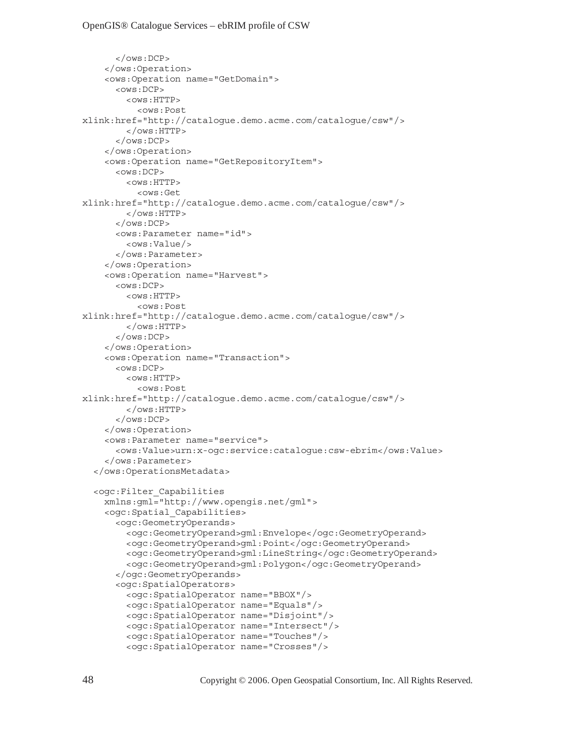```
</ OWS: DCP >
     </ows:Operation> 
     <ows:Operation name="GetDomain"> 
       <ows:DCP> 
         <ows:HTTP> 
           <ows:Post 
xlink:href="http://catalogue.demo.acme.com/catalogue/csw"/> 
        </\circws:HTTP>
      </ OWS: DCP >
     </ows:Operation> 
     <ows:Operation name="GetRepositoryItem"> 
      < OWS: DCP >
         <ows:HTTP> 
            <ows:Get 
xlink:href="http://catalogue.demo.acme.com/catalogue/csw"/> 
        </\circws:HTTP>
      </\circws:DCP> <ows:Parameter name="id"> 
        <ows:Value/>
       </ows:Parameter> 
     </ows:Operation> 
     <ows:Operation name="Harvest"> 
      <ows:DCP> <ows:HTTP> 
            <ows:Post 
xlink:href="http://catalogue.demo.acme.com/catalogue/csw"/> 
        </\circws:HTTP>
      </\circws:DCP>
     </ows:Operation> 
     <ows:Operation name="Transaction"> 
      < \circ Ws: DCP >< OWS: HTTP >
            <ows:Post 
xlink:href="http://catalogue.demo.acme.com/catalogue/csw"/> 
        </\circws:HTTP>
      </\circws:DCP>
     </ows:Operation> 
     <ows:Parameter name="service"> 
       <ows:Value>urn:x-ogc:service:catalogue:csw-ebrim</ows:Value> 
     </ows:Parameter> 
   </ows:OperationsMetadata> 
   <ogc:Filter_Capabilities 
     xmlns:gml="http://www.opengis.net/gml"> 
     <ogc:Spatial_Capabilities> 
       <ogc:GeometryOperands> 
         <ogc:GeometryOperand>gml:Envelope</ogc:GeometryOperand> 
         <ogc:GeometryOperand>gml:Point</ogc:GeometryOperand> 
         <ogc:GeometryOperand>gml:LineString</ogc:GeometryOperand> 
         <ogc:GeometryOperand>gml:Polygon</ogc:GeometryOperand> 
       </ogc:GeometryOperands> 
       <ogc:SpatialOperators> 
         <ogc:SpatialOperator name="BBOX"/> 
         <ogc:SpatialOperator name="Equals"/> 
         <ogc:SpatialOperator name="Disjoint"/> 
         <ogc:SpatialOperator name="Intersect"/> 
         <ogc:SpatialOperator name="Touches"/> 
         <ogc:SpatialOperator name="Crosses"/>
```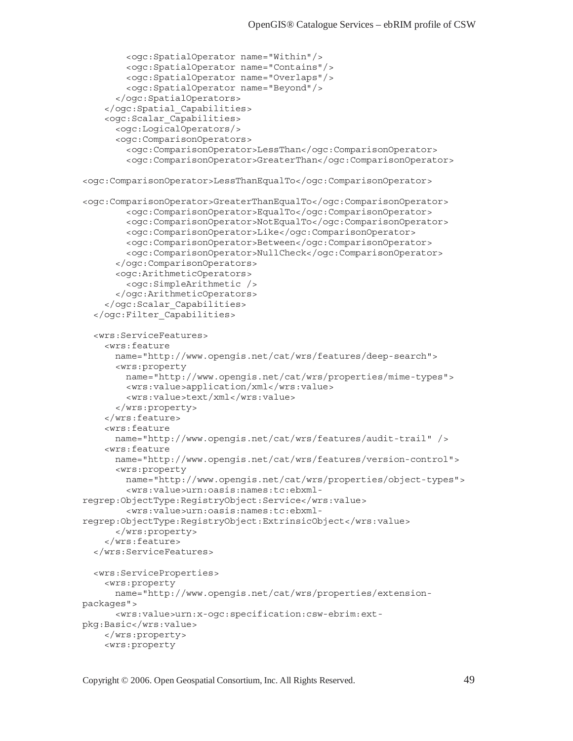```
 <ogc:SpatialOperator name="Within"/> 
         <ogc:SpatialOperator name="Contains"/> 
         <ogc:SpatialOperator name="Overlaps"/> 
         <ogc:SpatialOperator name="Beyond"/> 
       </ogc:SpatialOperators> 
     </ogc:Spatial_Capabilities> 
     <ogc:Scalar_Capabilities> 
       <ogc:LogicalOperators/> 
       <ogc:ComparisonOperators> 
        <ogc:ComparisonOperator>LessThan</ogc:ComparisonOperator>
         <ogc:ComparisonOperator>GreaterThan</ogc:ComparisonOperator> 
<ogc:ComparisonOperator>LessThanEqualTo</ogc:ComparisonOperator> 
<ogc:ComparisonOperator>GreaterThanEqualTo</ogc:ComparisonOperator> 
         <ogc:ComparisonOperator>EqualTo</ogc:ComparisonOperator> 
         <ogc:ComparisonOperator>NotEqualTo</ogc:ComparisonOperator> 
         <ogc:ComparisonOperator>Like</ogc:ComparisonOperator> 
         <ogc:ComparisonOperator>Between</ogc:ComparisonOperator> 
         <ogc:ComparisonOperator>NullCheck</ogc:ComparisonOperator> 
       </ogc:ComparisonOperators> 
       <ogc:ArithmeticOperators> 
         <ogc:SimpleArithmetic /> 
       </ogc:ArithmeticOperators> 
     </ogc:Scalar_Capabilities> 
   </ogc:Filter_Capabilities> 
   <wrs:ServiceFeatures> 
     <wrs:feature 
       name="http://www.opengis.net/cat/wrs/features/deep-search"> 
       <wrs:property 
        name="http://www.opengis.net/cat/wrs/properties/mime-types"> 
        <wrs:value>application/xml</wrs:value> 
         <wrs:value>text/xml</wrs:value> 
       </wrs:property> 
     </wrs:feature> 
     <wrs:feature 
       name="http://www.opengis.net/cat/wrs/features/audit-trail" /> 
     <wrs:feature 
       name="http://www.opengis.net/cat/wrs/features/version-control"> 
       <wrs:property 
         name="http://www.opengis.net/cat/wrs/properties/object-types"> 
         <wrs:value>urn:oasis:names:tc:ebxml-
regrep:ObjectType:RegistryObject:Service</wrs:value> 
         <wrs:value>urn:oasis:names:tc:ebxml-
regrep:ObjectType:RegistryObject:ExtrinsicObject</wrs:value> 
       </wrs:property> 
     </wrs:feature> 
   </wrs:ServiceFeatures> 
   <wrs:ServiceProperties> 
     <wrs:property 
      name="http://www.opengis.net/cat/wrs/properties/extension-
packages"> 
       <wrs:value>urn:x-ogc:specification:csw-ebrim:ext-
pkg:Basic</wrs:value> 
     </wrs:property> 
     <wrs:property
```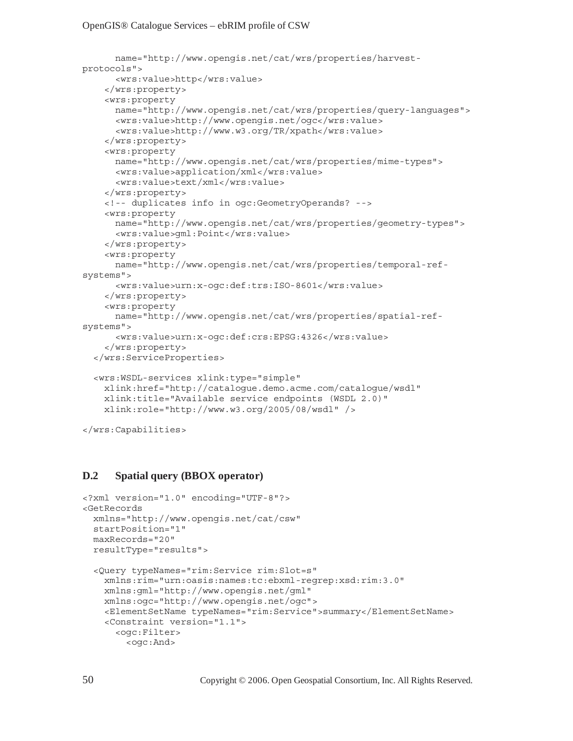```
 name="http://www.opengis.net/cat/wrs/properties/harvest-
protocols"> 
       <wrs:value>http</wrs:value> 
     </wrs:property> 
     <wrs:property 
       name="http://www.opengis.net/cat/wrs/properties/query-languages"> 
       <wrs:value>http://www.opengis.net/ogc</wrs:value> 
       <wrs:value>http://www.w3.org/TR/xpath</wrs:value> 
     </wrs:property> 
     <wrs:property 
       name="http://www.opengis.net/cat/wrs/properties/mime-types"> 
       <wrs:value>application/xml</wrs:value> 
       <wrs:value>text/xml</wrs:value> 
     </wrs:property> 
     <!-- duplicates info in ogc:GeometryOperands? --> 
     <wrs:property 
       name="http://www.opengis.net/cat/wrs/properties/geometry-types"> 
       <wrs:value>gml:Point</wrs:value> 
     </wrs:property> 
     <wrs:property 
       name="http://www.opengis.net/cat/wrs/properties/temporal-ref-
systems"> 
       <wrs:value>urn:x-ogc:def:trs:ISO-8601</wrs:value> 
     </wrs:property> 
     <wrs:property 
      name="http://www.opengis.net/cat/wrs/properties/spatial-ref-
systems"> 
       <wrs:value>urn:x-ogc:def:crs:EPSG:4326</wrs:value> 
     </wrs:property> 
   </wrs:ServiceProperties> 
   <wrs:WSDL-services xlink:type="simple" 
     xlink:href="http://catalogue.demo.acme.com/catalogue/wsdl" 
     xlink:title="Available service endpoints (WSDL 2.0)" 
     xlink:role="http://www.w3.org/2005/08/wsdl" /> 
</wrs:Capabilities>
```
#### **D.2 Spatial query (BBOX operator)**

```
<?xml version="1.0" encoding="UTF-8"?> 
<GetRecords 
  xmlns="http://www.opengis.net/cat/csw" 
  startPosition="1" 
  maxRecords="20" 
  resultType="results"> 
   <Query typeNames="rim:Service rim:Slot=s" 
     xmlns:rim="urn:oasis:names:tc:ebxml-regrep:xsd:rim:3.0" 
     xmlns:gml="http://www.opengis.net/gml" 
     xmlns:ogc="http://www.opengis.net/ogc"> 
     <ElementSetName typeNames="rim:Service">summary</ElementSetName> 
     <Constraint version="1.1"> 
       <ogc:Filter> 
         <ogc:And>
```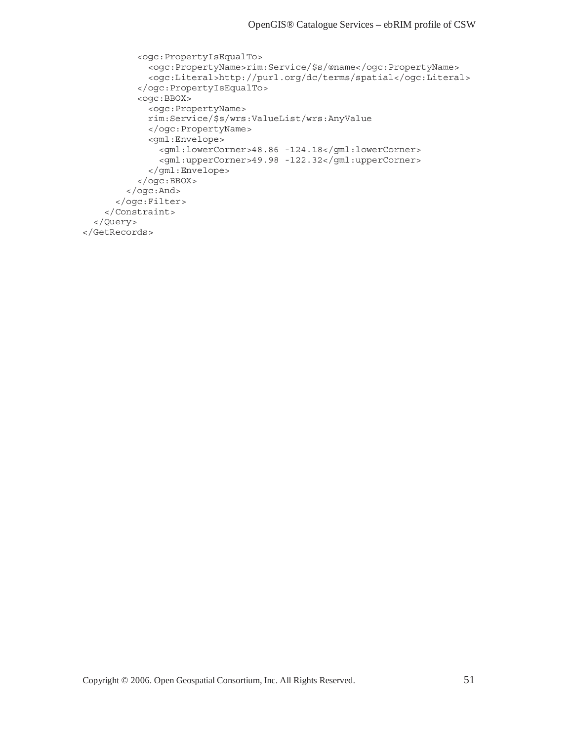```
 <ogc:PropertyIsEqualTo> 
             <ogc:PropertyName>rim:Service/$s/@name</ogc:PropertyName> 
             <ogc:Literal>http://purl.org/dc/terms/spatial</ogc:Literal> 
           </ogc:PropertyIsEqualTo> 
           <ogc:BBOX> 
             <ogc:PropertyName> 
             rim:Service/$s/wrs:ValueList/wrs:AnyValue 
             </ogc:PropertyName> 
             <gml:Envelope> 
               <gml:lowerCorner>48.86 -124.18</gml:lowerCorner> 
               <gml:upperCorner>49.98 -122.32</gml:upperCorner> 
             </gml:Envelope> 
           </ogc:BBOX> 
         </ogc:And> 
       </ogc:Filter> 
     </Constraint> 
   </Query> 
</GetRecords>
```